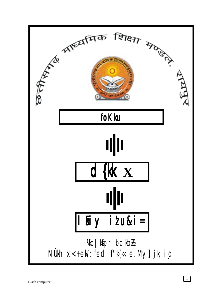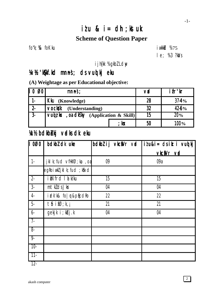# $itu$  &  $i=$  dh; kstuk **Scheme of Question Paper**

fo"k;  $%$  foKku iw.kk $\geq$  fokku

le; % 3 ?kaVs

ijh{kk % gkbl Ldw

## ¼v½ 'kS{kf.kd mn~ns'; ds vuqlkj eku ¼v½ 'kS{kf.kd mn~ns'; ds vuqlkj eku

### **(A) Weightage as per Educational objective:**

| $\overline{\mathsf{I}\mathsf{I}}$ 0<br>Ø0 | mnns;                                      | vd | ifr'kr  |
|-------------------------------------------|--------------------------------------------|----|---------|
| $1 -$                                     | <b>Kku</b> (Knowledge)                     | 28 | $37-4%$ |
| $2 -$                                     | <b>vocksk</b><br>(Understanding)           | 32 | 42-6%   |
| $\sqrt{3}$                                | Vuiz $kx$ , or disky (Application & Skill) | 15 | $20\%$  |
|                                           | ; kx                                       | 50 | 100%    |

# **Xc½ bdkbbkj vadks dk eku**

| $\overline{1000}$        | bdkbl dk uke                                 |    | bdkbl i j vkciVr vid | $ilu&i = ds$ it: i vuo kj |
|--------------------------|----------------------------------------------|----|----------------------|---------------------------|
|                          |                                              |    |                      | vkcíVrvd                  |
| $\overline{\phantom{a}}$ | jkl k; fud $\vee$ fHkf $\emptyset$ ; ka , oa | 09 |                      | 09a                       |
|                          | egRoiwkliklk; fud; kfixd                     |    |                      |                           |
| $\overline{2}$           | ikNfrd I a kku                               | 15 |                      | 15                        |
| $\overline{3}$           | $m$ t $k$ dsJ $kr$                           | 04 |                      | 04                        |
| $\overline{4}$           | idk'k& fo   r&plicdRo                        | 22 |                      | 22                        |
| $-5-$                    | $t$ b if $\emptyset$ ; k, j                  | 21 |                      | 21                        |
| $6 -$                    | gekjk i ; kbj.k                              | 04 |                      | 04                        |
| $\sqrt{7}$               |                                              |    |                      |                           |
| $8 -$                    |                                              |    |                      |                           |
| $\overline{9}$           |                                              |    |                      |                           |
| $-10-$                   |                                              |    |                      |                           |
| $11 -$                   |                                              |    |                      |                           |

12-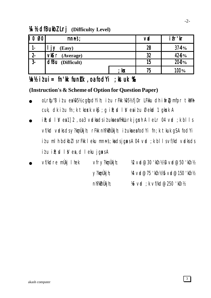### **14 ½ dfBukbI Lrj** (Difficulty Level)

| II 0<br>Ø0 | mnns;                  |                 | <b>vd</b> | ifr'kr  |
|------------|------------------------|-----------------|-----------|---------|
| ı-         | (Easy)                 |                 | 28        | $37-4%$ |
| $2 -$      | <b>VIS</b> r (Average) |                 | 32        | 42-6%   |
| $3 -$      | dfBu (Difficult)       |                 | 15        | $20-0%$ |
|            |                        | ; k $\mathbf x$ | 75        | 100%    |

## $\n *Y*n% i $\ell$ ui = fn'lk funkk ,oa fodYi ;ktuk %$

### **(Instruction's & Scheme of Option for Question Paper)**

- oLrtju"B itu ea)05½ cgtjodYih; itu rFkk )05½ fjDr LFkku dh itirZ@mfpr tkMh cuk, dk itu fn;k tkosk vk $\mathfrak{s}$ ; g ilt; d l V ealtu Øekad 1 gksk A
- $i\mathbb{R}$ ; d l  $\mathbb{V}$  ea 1] 2 , oa 3 vadka ds iz uka ea fHkUurk jg $x$ h A l eLr 04 vad ;k blls vf/kd vadks ds y?kanÙkjh; rFkk nh?ktnÙkjh; it uka ea fodYi fn;k tkuk gSA fodYi izu mlh bdkbZ ls rFkk leku mnnst; ka ds jgaxs A 04 vad ; k blls vf/kd vadks ds  $i \ell u$  i $k$ ;  $d \ell v$  es, d leku jgs $k s A$

| $\bullet$ | vf/kdre mùkj I hek | $Vf \Gamma V?$ kmÙkjh; | $\mathcal{R}$ vd@30 'kCn½ $\mathcal{R}$ vd@50 'kCn½ |
|-----------|--------------------|------------------------|-----------------------------------------------------|
|           |                    | $\vee$ ?kmÙkj h;       | 14 vd@75 'kin1215 vd@150 'kin12                     |
|           |                    | nh?kInUkj h;           | $%$ vd ; k vf/kd@250 'k $n$ h                       |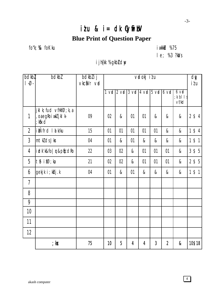$\overline{4}$ 

# $i$  tu &  $i$  = dk Cyfii bV **Blue Print of Question Paper**

fo"k; % foKku

**i** wkkid %75

 $1 e; %3 ?kNs$ 

### i jh{kk %gkbLdw

| bdkbl<br>$\overline{\phantom{a}}$ . | bdkbl                                                                            | bdkbl i j<br>vkciVr vid |    | vidokj itu |    |    |                | dy<br>itu                                                                                       |                                  |          |
|-------------------------------------|----------------------------------------------------------------------------------|-------------------------|----|------------|----|----|----------------|-------------------------------------------------------------------------------------------------|----------------------------------|----------|
|                                     |                                                                                  |                         |    |            |    |    |                | $1 \text{ val}$ 2 $\text{ val}$ 3 $\text{ val}$ 4 $\text{ val}$ 5 $\text{ val}$ 6 $\text{ val}$ | $6$ vo<br>$; k$ bl $ s$<br>vf/kd |          |
| $\mathbf{1}$                        | jkl k; fud $\vee$ fHkf $\emptyset$ ; k, a<br>, oaegRoiwkZ jkl k-<br>$;$ k $f$ xd | 09                      | 02 | &          | 01 | 01 | &              | &                                                                                               | &                                | $2$ \$4  |
| $\overline{2}$                      | ikÑfrd I a k/ku                                                                  | 15                      | 01 | 01         | 01 | 01 | 01             | &                                                                                               | &                                | $1$ \$4  |
| $\overline{3}$                      | mtklds Jkr                                                                       | 04                      | 01 | &          | 01 | &  | &              | &                                                                                               | &                                | $1$ \$ 1 |
| 4                                   | i dk'k&fo   r&plicdRo                                                            | 22                      | 03 | 02         | &  | 01 | 01             | 01                                                                                              | &                                | $3$ \$ 5 |
| 5                                   | tb ifØ;ka                                                                        | 21                      | 02 | 02         | &  | 01 | 01             | 01                                                                                              | &                                | $2$ \$ 5 |
| 6                                   | gekjk i; kbj.k                                                                   | 04                      | 01 | &          | 01 | &  | &              | &                                                                                               | &                                | $1$ \$ 1 |
| $\overline{1}$                      |                                                                                  |                         |    |            |    |    |                |                                                                                                 |                                  |          |
| 8                                   |                                                                                  |                         |    |            |    |    |                |                                                                                                 |                                  |          |
| 9                                   |                                                                                  |                         |    |            |    |    |                |                                                                                                 |                                  |          |
| 10                                  |                                                                                  |                         |    |            |    |    |                |                                                                                                 |                                  |          |
| 11                                  |                                                                                  |                         |    |            |    |    |                |                                                                                                 |                                  |          |
| 12                                  |                                                                                  |                         |    |            |    |    |                |                                                                                                 |                                  |          |
|                                     | ; kx                                                                             | 75                      | 10 | 5          | 4  | 4  | $\overline{3}$ | $\overline{2}$                                                                                  | &                                | 10\$18   |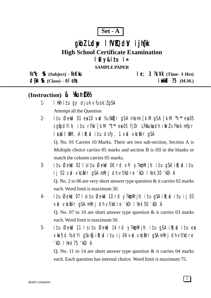## $Set - A$

# gkbl Ldw I fVIQdV i jh(k **High School Certificate Examination** lfiy&itu i=

**SAMPLE PAPER** 

fork; % (Subject) - fokku

 $d$ {k %  $(Class)$  - n  $0$  m

 $le; 3$   $\mathcal{R}.\mathsf{W}$  (Time- 3 Hrs)  $i$  wkid 75  $(M.M.)$ 

## (Instruction) & Kunk

- I Hkh itu qy djuk vfuok; lgSA  $1 -$ Attempt all the Question
- itu Øekad 01 ea 10 vad fu/kktir g\$A nksmi [k.M g\$A [k.M ~v\* ea 05  $2$ cqfodYih; itu rFkk [k.M "c\*\* ea 05 fjDr LFkkuka dh ifrl vFkok mfpr l cak tkm, A i R; cd i t u dsfy, 1 v cd vkciVr qSA

Q. No. 01 Carries 10 Marks. There are two sub-section, Section A is Multiple choice carries 05 marks and section B is fill in the blanks or match the column carries 05 marks.

- $3$ itu Øekod 02 lsitu Øekod 06 rd vfr y?konRrih; itu qSA iR; ditu ij 02 vrd vkciNr g\$A mRrj dh vf/kdre 'kCn I hek 30 'kCn A Q. No. 2 to 06 are very short answer type question  $\&$  it carries 02 marks each. Word limit is maximum 30.
- itu Øekod 07 lsitu Øekod 10 rd y?komRrjh; itu q\$A iR; ditu ij 03  $\overline{4}$ vid vkci Vr gs Amri dh vf/kdre 'kin I hek 50 'kin A O. No. 07 to 10 are short answer type question  $\&$  it carries 03 marks each. Word limit is maximum 50.
- $5$ itu Øekod 11 Isitu Øekod 14 rd y?kon Rrjh; itu q\$A ik; ditu ea vkrfjd fod Yi q S v k \$ i R; sd i z u i j 04 v rd v k c a Y r q S A m R r j dh v f/k d r e 'kCn I hek 75 'kCn A

Q. No. 11 to 14 are short answer type question  $\&$  it carries 04 marks each. Each question has internal choice. Word limit is maximum 75.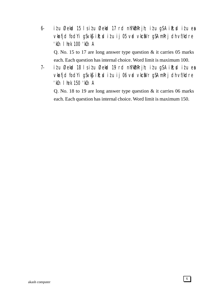- 6- i $i$ u Øekad 15 ls i $i$ u Øekad 17 rd nh?k $\Delta$ mRrjh; i $i$ u g $\Delta$  i $\Omega$ ; di $i$ u esa vkarfjd fod Yigs vk $\mathfrak{g}$  ik; ditu ij 05 vad vkca $V$ r g $S$  A mRrj dh vf/kdre 'kCn lhek 100 'kCn A Q. No. 15 to 17 are long answer type question & it carries 05 marks each. Each question has internal choice. Word limit is maximum 100.
- 7- i $i$ u Øekad 18 ls i $i$ u Øekad 19 rd nh?k $\delta$ mRrjh; i $i$ u gSA i $\delta$ ;sd i $i$ u esa vkrfjd fodYi gSvk\$ ik; ditu ij 06 vrd vkcaVr gSA mRrj dh vf/kdre 'kCn lhek 150 'kCn A

Q. No. 18 to 19 are long answer type question & it carries 06 marks each. Each question has internal choice. Word limit is maximum 150.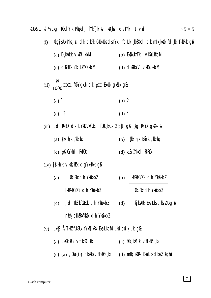Iki Uk&1 ¼/½ Lkgh fûkdYlk Pkitkdj fYkf[k, & lkR, kd dsfYk, 1 vad  $1\times 5=5$ 

| (i) | XkgjsUkhYksja< dk dkPk CkUkkUksdsfYk, fdLk kKBXkd dk mlk kkKk fd kk TkkRkk g&                                             |  |
|-----|---------------------------------------------------------------------------------------------------------------------------|--|
|     | (a) $D_s$ kiki wkili kbM<br>(b) EKXKUKhTK vKDLKKbM                                                                        |  |
|     | (c) <b>CIMFEK, KEK</b> LKYQKbM<br>(d) CHERRYV VKDLKKbM                                                                    |  |
|     | (ii) $\frac{N}{1000}$ HCl f0kYk, kUk cJk pH EkkUk gkRkk g&                                                                |  |
|     | $(a)$ 1<br>$(b)$ 2                                                                                                        |  |
|     | (c) 3<br>(d) 4                                                                                                            |  |
|     | (iii), d RkROk dk bYkDVkfUkd fOkU kkLk 2]8]1 g\$ kg RkROk gkXkk &                                                         |  |
|     | $(a)$ {kkjh,k /kkRkq<br>(b) {kkjh,k Ek`nk /kkRkq                                                                          |  |
|     | $(c)$ p&CYkkd RkROk<br>(d) d&CYkkd RkROk                                                                                  |  |
|     | $(iv)$ j $\left[\right]$ kh, k vk $\left \right $ k/k $\left \right $ k dg $\left \right $ kk $\left \right $ kkkk g $\&$ |  |
|     | OkLRkq dh Yk&kkbZ<br>Ikfrikfûkeck dh Ykêkkbz<br>(b)<br>(a)                                                                |  |
|     | IkfrkfCkECk clh Yk@kkbZ<br>OkLRkg dh Yk&kkbZ                                                                              |  |
|     | , d IktRkfCkECk dh Yk <b>û</b> kkbZ<br>mikj kDRk Eka Lks dkbl Ukgha<br>(d)<br>(c)                                         |  |
|     | niki js Ikfrkf Ckeik ch Ykeikkb Z                                                                                         |  |
| (v) | LKKS ÅTKKI fUKEUK fYKf[KRK EKa LKs follkols olkj. Kg&                                                                     |  |

- (a)  $Lk2'k_kkUk \sqrt{fHkf}\mathcal{O}_kkk$ (a)  $f0k$ [kanuk  $\vee$ fHkf $\emptyset$ ,kk
- (c) (a),  $0$ ka (b) nkbkka  $\nabla$ fHkf $\emptyset$ <sub>s</sub>kk (d) mlkj kDRk Eka Lks clkbZ UkghA

 $\overline{7}$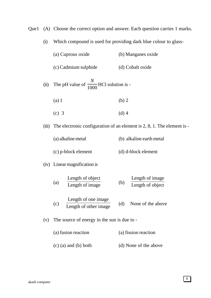Que1 (A) Choose the correct option and answer. Each question carries 1 marks.

| (i)   |                                                     | Which compound is used for providing dark blue colour to glass-         |  |  |  |  |  |
|-------|-----------------------------------------------------|-------------------------------------------------------------------------|--|--|--|--|--|
|       | (a) Cuprous oxide                                   | (b) Manganes oxide                                                      |  |  |  |  |  |
|       | (c) Cadmium sulphide                                | (d) Cobalt oxide                                                        |  |  |  |  |  |
| (ii)  | The pH value of $\frac{N}{1000}$ HCl solution is -  |                                                                         |  |  |  |  |  |
|       | $(a)$ 1                                             | (b) 2                                                                   |  |  |  |  |  |
|       | $(c)$ 3                                             | $(d)$ 4                                                                 |  |  |  |  |  |
| (iii) |                                                     | The electronic configuration of an element is 2, 8, 1. The element is - |  |  |  |  |  |
|       | (a) alkaline metal                                  | (b) alkaline earth metal                                                |  |  |  |  |  |
|       | (c) p-block element                                 | (d) d-block element                                                     |  |  |  |  |  |
|       | (iv) Linear magnification is                        |                                                                         |  |  |  |  |  |
|       | Length of object<br>(a)<br>Length of image          | Length of image<br>(b)<br>Length of object                              |  |  |  |  |  |
|       | Length of one image<br>(c)<br>Length of other image | (d)<br>None of the above                                                |  |  |  |  |  |
| (v)   | The source of energy in the sun is due to -         |                                                                         |  |  |  |  |  |

(a) fusion reaction (a) fission reaction (c) (a) and (b) both (d) None of the above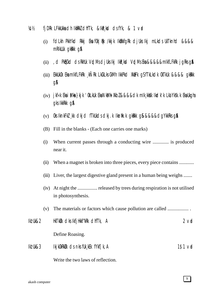- $\frac{1}{2}$  fiDRk LFkkUkka dh IkmrkZ dhfTk, &IkR kid ds fYk, & 1 vad
	- (i) fdLkh PkkYkd Rkkj Eka fûk|Qk /kkjk IkûkkfgRk djUks Ikj mLkds UkTknhd &&&& mRIkUUk gkkkk g&
	- (ii) , d PkhtCkd ds RkhUk VrdMs djUks Ikj IkR<sub>s</sub>kd VrdMs Eka &&&&&mIkfLFkRk jgRks g**\$**A
	- $(iii)$  EkkUkOk Eka $m$ IkfLFkRk kÑRk LkCkLks CkMh IkkPk $d$  Xkaffk  $a$ S $f$ TkLk $d$ k Ok $T$ kUk &&&&  $d$ kRkk g&
	- $(iv)$  jkf«k Eka i Mha }kjk 'OkLkUk Eka NkMh XkbZ &&&&dk mIk¸kk) kkdk'k Lka'Yksk.k Eka Ukgha gks IkkRkk g&
	- (v) Oks IknkFkZ ¸kk dkjd fTkUkds dkj.k Ikznw"k.k gksRkk gS&&&&&dgYkkRks gSaA
	- (B) Fill in the blanks (Each one carries one marks)
	- (i) When current passes through a conducting wire ............. is produced near it.
	- (ii) When a magnet is broken into three pieces, every piece contains ...........
	- (iii) Liver, the largest digestive gland present in a human being weighs .......
	- (iv) At night the ................ released by trees during respiration is not utilised in photosynthesis.
	- (v) The materials or factors which cause pollution are called ................. .
- Ikz'Uk&2 HkTkZUk dks IkfjHkkf"kRk dhfTk, A 2 vad Define Roasing. Ikz'Uk&3 IkjkOkRkZUk ds nks fUk¸kEk fYkf[k,A 1\$1 vad

Write the two laws of reflection.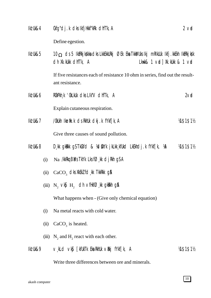| lki Uk&4            |      | $Qkfg''d$ j.k dks $IkfjHkkf''kRk$ dhf $Tk, A$<br>$2v$ d                                                                                                           |           |  |  |  |  |
|---------------------|------|-------------------------------------------------------------------------------------------------------------------------------------------------------------------|-----------|--|--|--|--|
|                     |      | Define egestion.                                                                                                                                                  |           |  |  |  |  |
| lki Uk&5            |      | $10_{\Omega}$ ds 5 IktRkjkskka dks LkkEkkURkj ØEk Eka Tkk&NUks Ikj mRIKUUk Ikfj. kkEkh IktRkjksk<br>$Lkwk& 1 \vee d$ Xk. kukk & 1 $\vee d$<br>dh Xk.kukk dhfTk, A |           |  |  |  |  |
|                     |      | If five resistances each of resistance 10 ohm in series, find out the result-<br>ant resistance.                                                                  |           |  |  |  |  |
| Iki Uk&6            |      | RûkPkh k 'ûkLkuk diks Lik"V difitik, A                                                                                                                            | $2V$ d    |  |  |  |  |
|                     |      | Explain cutaneous respiration.                                                                                                                                    |           |  |  |  |  |
| <b>Ikt Uk&amp;7</b> |      | /0kUkh Ikniik.k ds RkhUk dkj.k fYkf[k, A                                                                                                                          | M\$1\$1½  |  |  |  |  |
|                     |      | Give three causes of sound pollution.                                                                                                                             |           |  |  |  |  |
| Iki Uk&8            |      | D, kk g kirkk g S T k Ckfd & Yd Siky k j k Lkk, k f Ukd Lk Ekhdj. k fyl f [k, YA                                                                                  | 14\$1\$11 |  |  |  |  |
|                     | (i)  | Na /kkRkq BMs TkYk Lks f $\varnothing$ , kk dj Rkh gSA                                                                                                            |           |  |  |  |  |
|                     | (ii) | $CaCO3$ dks XkEkZ fd kk TkkRkk g\$                                                                                                                                |           |  |  |  |  |
|                     |      | (iii) $N_2 \vee k\mathfrak{f} H_2$ ch $\vee$ flkf $\emptyset$ , kk gkkkh g \$                                                                                     |           |  |  |  |  |
|                     |      | What happens when - (Give only chemical equation)                                                                                                                 |           |  |  |  |  |
|                     | (i)  | Na metal reacts with cold water.                                                                                                                                  |           |  |  |  |  |
|                     | (ii) | $CaCO3$ is heated.                                                                                                                                                |           |  |  |  |  |
|                     |      | (iii) $N_2$ and H <sub>2</sub> react with each other.                                                                                                             |           |  |  |  |  |
| Iki Uk&9            |      | ∨kLd ∨k\$ [kfUkTk Eka RkhUk ∨Rkj fYkf[k, A                                                                                                                        | 14515112  |  |  |  |  |
|                     |      | Write three differences between ore and minerals.                                                                                                                 |           |  |  |  |  |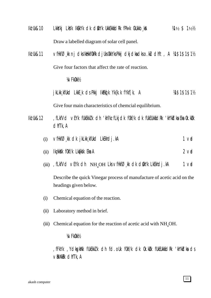- $I$ k $I$ Uk&10 LkkšYkj LkšYk IkBkYk dk diškyk Ukkekkádrk fPk«k CkUkkb, ka  $\frac{1}{4}$  % 1½  $\frac{1}{2}$  % 1½  $\frac{1}{2}$ Draw a labelled diagram of solar cell panel.
- Iki Uk&11 vfHkfØkk nj dks IkitkhfOkRk djUks OkkYks Pkkj dkjdka dkso.kU dhft, A ¼1\$1\$1\$1½ Give four factors that affect the rate of reaction.

¼vFkOkk½

jkLkk kfUkd LkkE k ds Pkkj IkEkq[k Yk{k.k fYkf[k, A ¼1\$1\$1\$1½

Give four main characteristics of chemcial equilibrium.

- Ikz'Uk&12 , fLkfVd vEYk fUkEkkZ.k dh 'kh?kz fLkjdk f0kf/k dk fUkEUkkfidRk 'kh"kidka Eka 0k.kiDk dhfTk,A
	- (i)  $\vee$ fHkfØ̯kk dk jkLkk̯kfUkd LkEkhdj.kA 1 vad
	- $(i)$  Ikz kkak fokf/k Lkafkak Eka A  $(ii)$  Ikz kkak  $f(x)$  and  $2 \vee x$
	- (iii) , fLkfVd vEYk dh  $NH_{4}OH$  Lks vfHkf $\emptyset$ , kk dk dskYk LkEkhdj.kA 1 vad

Describe the quick Vinegar process of manufacture of acetic acid on the headings given below.

- (i) Chemical equation of the reaction.
- (ii) Laboratory method in brief.
- (iii) Chemical equation for the reaction of acetic acid with  $NH<sub>4</sub>OH$ .

#### ¼vFkOkk½

,fFkYk ,YdksgkWYk fUkEkkZ.k dh fd.oUk fOkf/k dk Ok.kZUk fUkEUkkafdRk 'kh"kZdksa ds  $\vee$ RkXkRk dhfTk, A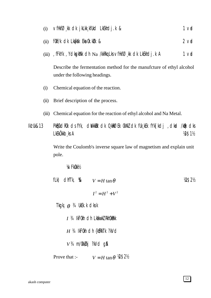- $1<sub>vd</sub>$ vfHkfØkk dk jkLkkkfUkd LkEkhdj.k &  $(i)$
- fûkf/k cik Lkarkisk Eka ûk. külk &  $2$  vd  $(ii)$
- (iii) , fFkYk, YcksgkWk clh Na /kkRkq Lks vfHkfØ kk clk LkEkhclj .k A  $1<sub>v</sub>$

Describe the fermentation method for the manufcture of ethyl alcohol under the following headings.

- Chemical equation of the reaction.  $(i)$
- (ii) Brief description of the process.
- (iii) Chemical equation for the reaction of ethyl alcohol and Na Metal.

PKECkdROk dsfYk, diVkkEk dk 0 kRØEk OkXkZ dk fUk kEk fYk [kdj , dkad /kBk dks **Ikt Uk&13** LkEkÖkkb ks A **18\$11/2** 

> Write the Coulomb's inverse square law of magnetism and explain unit pole.

**VA/FkOkkV2** 

| fLk) dhfTk, $\&$ $V = H \tan \theta$       |                                         | V2\$2½ |
|--------------------------------------------|-----------------------------------------|--------|
|                                            | $I^2 = H^2 + V^2$                       |        |
| Tkgki $\theta$ <sup>3</sup> /4 UkEk.k dksk |                                         |        |
|                                            | $I$ $3/4$ IkFOkh c1h LkakwkZ RkhOkRkk   |        |
|                                            | $H$ 34 IkFOkh dh {k\$RkTk ?kVd          |        |
| $V3$ 4 m/0kk $\ell$ kj ?kVd g\$            |                                         |        |
| Prove that :-                              | $V = H \tan \theta$ $\mathcal{W}$ \$2\% |        |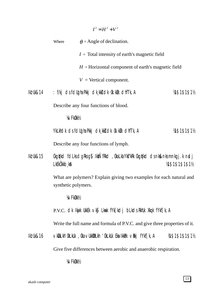|           |                              | $I^2 = H^2 + V^2$                                                                |                 |
|-----------|------------------------------|----------------------------------------------------------------------------------|-----------------|
|           | Where                        | $\theta$ = Angle of declination.                                                 |                 |
|           |                              | $I = \text{Total intensity of earth's magnetic field}$                           |                 |
|           |                              | $H =$ Horizontal component of earth's magnetic field                             |                 |
|           |                              | $V =$ Vertical component.                                                        |                 |
| lk! Uk&14 |                              | : f/kj ds fdllgha Pkkj dk, kk} dk 0k. kuk dhfTk, A                               | 14\$1\$1\$11    |
|           |                              | Describe any four functions of blood.                                            |                 |
|           | <b>VA/FkOkkV<sub>2</sub></b> |                                                                                  |                 |
|           |                              | YkLkhdk ds fdligha Pkkj dk kkj dk 0k kulk dhfTk, A                               | 14\$1\$1\$11    |
|           |                              | Describe any four functions of lymph.                                            |                 |
| lk! Uk&15 | LKEKÖKKb kA                  | Ckgirlkd follis dgirls g\$ lktÑfRkd, Okalka Ykf"kRk Ckgirlkd dsnk&nksmnkgj.k ndj | 14\$1\$1\$1\$1% |
|           | synthetic polymers.          | What are polymers? Explain giving two examples for each natural and              |                 |
|           | <b>VA/FkOkkV<sub>2</sub></b> |                                                                                  |                 |
|           |                              | P.V.C. OK Ikijk Ukkek vkj Lkuk fyk[ko] blkos Rkhuk Xkqk fykf[k, A                |                 |
|           |                              | Write the full name and formula of P.V.C. and give three properties of it.       |                 |
| lk! Uk&16 |                              | ∨kDLkh'OkLkUk , Oka ∨UkkDLkh 'OkLkUk Eka IkkBk ∨Bkj fYkf[k, A                    | 14\$1\$1\$1\$1% |
|           |                              | Give five differences between aerobic and anaerobic respiration.                 |                 |
|           | <b>VA/FkOkkV<sub>2</sub></b> |                                                                                  |                 |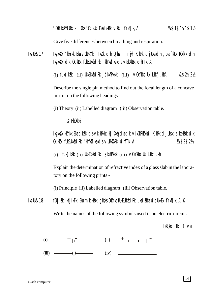Give five differences between breathing and respiration.

Ikz'Uk&17 Ikz¸kksXk 'kkYkk Eksa vOkRkYk nIkZ.k dh Qksdl nwjh KkRk djUksa dh ,oa fIkUk fOkf/k dh Ikz kk**s**K dk Ok. kük fükEUkkfidRk 'kh"kidka ds virkXkir dhfTk, A

(i)  $f Lk$ )k $Rk$  (ii) UkkEkk $f$ ic $Rk$  j $\int$ kk $f$ Pk«k (iii)  $\vee$ OkYkksdUk Lkk $f$ j.khA ¼1\$2\$2½

Describe the single pin method to find out the focal length of a concave mirror on the following headings -

(i) Theory (ii) Labelled diagram (iii) Observation table.

¼vFkOkk½

Ikz¸kksXk'kkYkk Eksa dkaPk ds vk¸kRkkdkj XkqVdsa dk vIkOkRkZUkkad KkRk djUks ds Ikz¸kksXk dk Ok.kZUk fUkEUkkafdRk 'kh"kZdksa ds vURkZXkRk dhfTk,A ¼1\$2\$2½

(i)  $f(k)$ k $k$ k $i$ i) Ukk $E$ kka $f$ d $R$ k j $\int$ kkf $P$ k«k (iii)  $\vee$ Ok $Y$ kk $f$ Uk Lkk $f$ j.kh

Explain the determination of refractive index of a glass slab in the laboratory on the following prints -

(i) Principle (ii) Labelled diagram (iii) Observation table.

Ikz Uk&18 fOk | Buk IkfjilkFk Eka mik¸kkak gkaks OkkYks fUkEUkkadRk LkadRkka ds UkkEk fYkf[k, A & Write the names of the following symbols used in an electric circuit.

 $I$ k $R$ , ksd  $I$ kj 1 vad

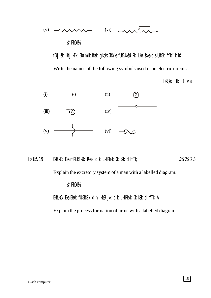

Write the names of the following symbols used in an electric circuit.

 $I kR_s kC I kj 1 vC J$ 



Ikz'Uk&19 EkkUkOk Eka mRLkTkØk Rkack cJk LkfPk«k Ok.kØk cJhfTk,  $\%$ \$2\$2½

Explain the excretory system of a man with a labelled diagram.

¼vFkOkk½

EkkUkOk Eka Ekwk fUkEkkZ k dh IkfØkk dk LkfPk«k 0k.kUk dhfTk, A

Explain the process formation of urine with a labelled diagram.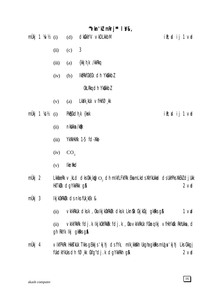#### " $V$ kn' $V$  m $R$ rj" |  $V$ &,

|  |  |  | $m\ddot{U}$ kj 1 ¼ $\nu$ ½ (i) (d) clk $k$ kYV $\nu$ kDLkkbM | ik; dij 1 ∨rd |
|--|--|--|--------------------------------------------------------------|---------------|
|  |  |  |                                                              |               |

- $\mathfrak{Z}$  $(ii)$  $(c)$
- {kkj h k /kkRkq  $(iii)$  $(a)$
- IkfRkfCkECk cIh Yk&kkbZ  $(iv)$  $(b)$

OkLRkg cJh Yk&kkbZ

- $Lk$ a $'$ k kuk  $V$ f $Hk$ f $O$  kk  $(v)$  $(a)$
- mÙkj 1 ¼ $x$ ½ PkQCkdh k {ksk  $ik;$ d ij 1 vd  $(i)$ 
	- nkblkka /kdk  $(ii)$
	- YkXkHkXk 1-5 fd-Xkk- $(iii)$
	- $CO<sub>2</sub>$  $(iv)$
	- **Ikntkd**  $(v)$
- $m\ddot{\theta}$ kj 2 LkkfiæRk  $\vee$ , kLd dks Okk, kg $\odot$ , dh mikfLFkfRk EkamLkds XkYkUkkad ds UkhPks XkEkZ dj Ukk HkTkUk dgYkkRkk g&  $2$  vol
- $m\dot{\mathsf{U}}$ kj 3 IkjkûkRkülk ds nks fük kEk &
	- vkikRkuk diksik , 0ka ikjik0kRkuk diksik Likn&k CikjikCikj gikRiks g\$A  $1<sub>v</sub>$  $(ii)$
	- VKIKFRKRK fdj.k Ikjk0kfRkRk fdj.k , 0ka VkIkRkUk fCkmq lkj VfHkYk&k RkhUkka , d  $(ii)$ gh RkYk Ikj gkRks g&
- mÙkj 4 ∨IkfPkRk HkkTkUk Tkks gEkkjs 'kjhj dsfYk, mlk kkXkh Ukgha gkRks mUga 'kjhj Lks Ckkgj fukdkYkuks dh fØ, kk 0kfg"dj. k dgYkkRkh g\$  $2$  vd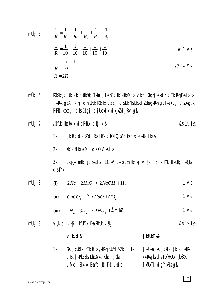mÜkj 5 
$$
\frac{1}{R} = \frac{1}{R_1} + \frac{1}{R_2} + \frac{1}{R_3} + \frac{1}{R_4} + \frac{1}{R_5}
$$

$$
\frac{1}{R} = \frac{1}{10} + \frac{1}{10} + \frac{1}{10} + \frac{1}{10} + \frac{1}{10}
$$
l# 1 v**d**  

$$
\frac{1}{R} = \frac{5}{10} = \frac{1}{2}
$$
g  

$$
R = 2\Omega
$$

mÙkj 6 ROkPkh」k 'OkLkUk diPkQkk] Tkkad] UkgihTk IkgikIkksM」kk vkfn Ckgqdksikdh」k TkURkq Eka Ikk」kk TkkRkk gSA 'kj hj ch UkEk ROkPkk  $\mathbf{CO}_2$  cls Lkh/ks Lkhkcl Z Eka gkRkh gS Tkks  $\mathbf{O}_2$  cls Xkg. k RkFkk  $\text{CO}_2$  dks Ckkgj djUks dk dk, kZ djRkh g\$

- [kUkUk dk k] dj Rks LkEk k f0kLQkVdka ds lkz kkXk Lks A  $1 -$
- $2 -$ Xk&k fLkYks Mj cJs QVUks Lks

Lkg {kk mlkdj.kkadsfoLQkV LksbLkh lkdkj vU¸k dkj.k fYk[kUkslkj lkR¸kd  $3$  $dsfYk$ ,

- mÙkj 8  $1<sub>v</sub>$  $2Na + 2H_2O \rightarrow 2NaOH + H_2$  $(i)$ 
	- (ii)  $CaCO_3 \xrightarrow{\Delta} CaO + CO_2$  $1<sub>v</sub>$
	- (iii)  $N_2 + 3H_2 \rightarrow 2NH_3 + \text{\AA} \text{tk}$  $1<sub>v</sub>$
- mÙkj 9 v,kLcl ∨k§ [kfUkTk Eka RkhUk ∨Rkj M\$1\$1%

### v kld&

#### **TkfUkTk&**

Oks [kfUkTk fTkUkLks /kkRkq fUk"cl"kZk 1- $1 -$ [kkUkka Lks [kUkUk }kjk IkkIRk /kkRkq/ka ds f0kfHkUUk ,kk\$Xkd **dek [kPkZ Eka LktjOk/kkTkUkd ,Oka** vf/kd Ekk«kk Ekafd kk Tkk Lkds **FkfUkTk dgYkkRks g&**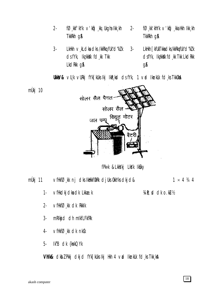- $2$  $f\oslash f$  kkf'kYk $\vee$ 'kt $f$ ) kkj Uk $g$ ha Ikk kh  $2 -$ TkkRkh q&
- $3 -$ LkHkh v kLdka dks /kkRkq fUk"d"kZ k  $3$ ds fYk, lkzkkak fdzk Tkk LkdRkk g&
- $f\oslash$  kk' khYk  $\vee$ ' kt $\infty$  kka Hkh Ikk kh TkkRkh q&
- LkHkh **[kfUkTkkadks/kkRkqfUk"d"kZ k** dsfyk, ligkkik fd kk Tkk Lkdrkk **g&**

**Ukkš/&** vU, k vURkj fYk[kUks Ikj IkR, ksd cJs fYk, 1 væl IknkUk fcl, ks TkkOk**a** 



fPk«k & Lkkykj Lkyk IkBky

 $1 \times 4$  3/4 4 mÙkj 11 vfHkfØ, kk nj dks IkHkkf0kRk djUks 0kkYks dkjd&

Vi R; cl dk o.kU/2

- vfHkdkj dka dk Lkkae.k  $1 -$
- $2 \vee$ fHkfØ<sub>kk</sub> dk Rkklk
- mRIkj d dh mIkfLFkfRk  $3-$
- $VfHkfØ_kk$  dk nk $@k$  $4-$
- Ik"B dk {kskQYk 5-

Vhik& cikbz Pkkj cikj ci fYk[kuks ikj Hkh 4 vrd iknkuk fd ks Tkk ka

mÙkj 10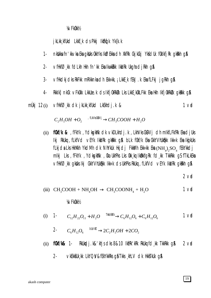#### **VAZFKOKKV2**

#### j kLkk kfUkd LkkE k ds Pkkj IkEkq k Yk{k. k

- nkbikka fn' kkvka Eka gkbiks ûkkyks Ikøekka dh XkfRk CkjkCkj YkfdUk fûklkfjRk gkikih gja  $1 -$
- $2$ vfHkfØkk fdLkh Hkh fn'kk EkalkwkRkk IkkIRk UkghadjRkh g\$
- vfHkdkjdks RkFkk mRIkknka dh Ekk«kk, ; LkkE k fEkJ k Eka fLFkj jqRkh q\$  $3 -$
- Rkklk] nkCk vFkOkk LkkUæ.k ds lkfjOkRkØk Lks LkkE\_kOkLFkk Eka Hkh lkfjOkRkØk gkRkk g\$  $\mathbf{4}$
- müki  $12(i)$ vfHkfØkk dk jkLkkktUkd LkEkhdj.k &  $1<sub>v</sub>$

 $C_2H_5OH + O_2 \xrightarrow{\text{rH/Ws(WV)}} CH_3COOH + H_2O$ 

(ii) **fOkf/k &** , fFkYk, YcksqkWk clk vkDLkhclj.k, LkhVks CkDVj clh mlkfLFkfRk Eka cljUks Ikj RkUkq , fLkfVcI vEYk IkkIRk gkRkk g& bLk f0kf/k Eka CkkYVhUk&kk Ikk«k Eka IkgikUks fLkjda Lks HkhXkh YkdMh dk NhYkUk Hkjdj FkkMh Ekk«kk Eka ( $NH_a$ ),SO, fEkYkkdj mikj Lks, fFkYk, YcikgkWk, Oka UkhPks Lks Okk kq IkûkkfgRk fcl kk TkkRkk gS fTkLkEka vfHkfØk k qkbks Ikj CkkYVhUkhkk Ikk«k ds UkhPks RkUkq, fLkfVd vEYk IkkIRk qkRkh q\$

 $2$  vol

(iii) 
$$
CH_3COOH + NH_4OH \rightarrow CH_3COONH_4 + H_2O
$$
 1  $Vd$ 

**VAZFKOKKV2** 

(i) 1- 
$$
C_{12}H_{22}O_{11} + H_2O \xrightarrow{\text{TKbElst}} C_6H_{12}O_6 + C_6H_{12}O_6
$$
 1 v**et**

- $C_6H_{12}O_6 \xrightarrow{\text{biloVst}} 2C_2H_5OH + 2CO_2$  $2 -$
- RkUkqdj.k&'khjscks8&10 lkfRk'kRk RkUkqfd.kk TkkRkk q\$  $(ii)$  for  $f$   $k\&$  1.  $2$  vo
	- VKEKKSUK KK LKYQY&fEKYKKRKS QS TKKS KhLV CIK HKKSTKUK QSA  $2 -$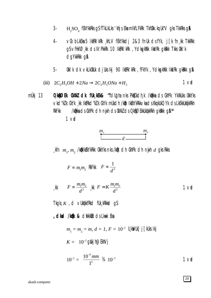- $3 H$ <sub>2</sub>SO<sub>4</sub> fEkYkkRks gS fTkLkLks 'khjs Eka mIkfLFkRk TkhOkk. kq Uk"V gks TkkRks g**\$**
- vů blkéka 5 lktřk kře khlv fekykkch 2&3 fnuk chstyk, j [k fn kk Tkkřkk  $4$ g\$vfHkfØ, kk ds Ik'PkkRk 10 IkfRk'kRk, YdkgkWk IkkIRk gkRkk Tkks Okk'k dgYkkRkk g&
- Okk'k dk vkLkOkUk djUksikj 90 IktRk'kRk , fFkYk , YdkspkWk IkkIRk gkRkk g& 5-

(iii) 
$$
2C_2H_2OH + 2Na \rightarrow 2C_2H_2ONa + H_2
$$
 1 v**d**

mÙkj 13 **O kRØEK OKXKZ CIK fUk KEK& "fclugha nks PkECkclh k /kBkka cIs CkhPk YkXkUks OkkYks** Vkd"kZ k CkYk ¸kk lkfRkd"kZ k CkYk mUkdh /kfk lkfkYkRkkVkads Xkq kUkQYk ds LkEkkUktkkRkh /kakka ds CkhPk dh nyih ds OkXkZ ds O kap@EkkUkakkRkh gkakk g\$\\*\* RkFkk  $1<sub>v</sub>$ 



$$
F \propto m_1 m_2 \quad \text{RkFK} \quad F \propto \frac{1}{d^2}
$$

$$
\text{f} \quad F \sim \frac{m_1 m_2}{d^2} \quad \text{f} \quad F = K \frac{m_1 m_2}{d^2} \tag{1.1}
$$

Tkgkj  $K$ , d vlktkkfrkd flk krkkad gs

, **cikad /kdk &** cil/kkiik cis Lkwk Eka

 $m_1 = m_2 = m, d = 1, F = 10^{-7}$  U, kWUk] j [kUks Ikj  $K = 10^{-7}$  gblkj h@EkhVj

$$
10^{-7} = \frac{10^{-7} \, \text{mm}}{1^2} \, \frac{3}{4} \, 10^{-7} \, \text{1 V}
$$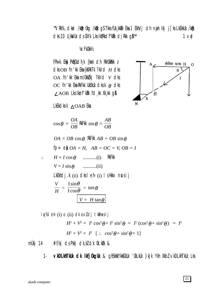"VRK%, dkad /kok Okq /kok q\$TkksfUk\_kkak Eka 1 EkhVj dh nijih Ikj j [ks LkEkkUk /kok dks 10 U kWUk ds CkYk Lks IkfRkdf"kRk dj Rkk g\$\*\*  $1<sub>v</sub>$ 

 $\overline{B}$ 

**VA/FkOkkV<sub>2</sub>** 

fPk«k Ekh PkECkch, k {ksk ch RkhOkRkk /  $dk$  OB fn' $k$  Eka  $\{kRkTk$  ? $kVd$   $H$  dks OA fn'kk Ekam/OkkZkj ?kVd v dks OC fn'kk Eka RkFkk UkEkUk dksk  $\theta$  dks  $\angle$  AOB Lks Iknf kkk fd, kk Xk, kk g&

LkEkdksk  $\triangle$ OAB Eka

$$
\cos \theta = \frac{OA}{OB} \text{ RkFK} \sin \theta = \frac{AB}{OB}
$$

$$
OA = OB \cos \theta
$$
 RIFkk  $AB = OB \sin \theta$   
fp= e $\parallel OA = H$ ,  $AB = OC = V$ ,  $OB = I$ 

$$
\therefore H = I \cos \theta \quad \dots \dots \dots (i) \quad RkFkk
$$
\n
$$
V = I \sin \theta \quad \dots \dots \dots (ii)
$$
\nLkEkhdj.k (ii) dks l eh (i) l sHkkx nus ij

\n
$$
\frac{V}{H} = \frac{I \sin \theta}{I \cos \theta} = \tan \theta
$$
\n
$$
V = H \tan \theta
$$

VKDLKhTKUk dk Ikfj0kgUk & ghEkkXYkkfCkUk '0kLkUk }kjk Ykh XkbZ vkDLkhTkUk Lks  $1 -$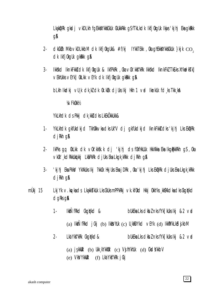LkakDRk aksdi vkDLkh faEkkXYkk\$CkUk CkUkkRkk aSfTkLkdk IkfiOkaUk Ikiis'kihi EkaakRkk dA

- $\alpha$ kCkWk Mkb $\vee$ kDLkkbM cIk Ikfj0kqUk& #f/kj IYkkTEkk ,0ka qhEkkXYkkSCkUk }kjk  $\cos$  $2$ dk Ikfj0kqUk qkRkk q&
- $3-$ Ikkskd IknkFkk& dk Ikfj0kqUk & IkfPkRk ,0ka v0k'kk\$"kRk Ikkskd IknkFkZ Tk£ks XYkvdk5Tk] VEKhUKks VEYK] OKLKK VEYK OK IKfj OkqUk qKRKK q&

blkh Ikdkj vu k dk ki dk (k ki djuks Ikj Hkh 1 vrd Iknkuk fd ks Tkk ka

**VA/FkOkkV2** 

YkLkhdk ds Pkkj dk kki dks LkEkÖkkUkk&

- YkLkhdk gkfUkdkjd TkhOkkvkadksUk"V dj gkfUkdkjd IknkFkk&dks'kjhj LksEkDRk  $1$ djkh q&
- IkPks qq 0kLkk dk v0k'kksk.k dj 'kjhj ds f0kfHkUUk HkkXkka Eka IkqBkkRkh qS, 0ka  $2$ vkûk' kdRkkukû kki Lkapkrk di Uks Eka Lkgk krkk di Rkh g\$
- $3$ kihi Eka PkkY YkXkUks Iki ?kkOk HkiUks Eka iDRk , Oka 'kihi Lks EkDRk diUks Eka Lkgk kRkk' djkh q&
- mÙkj 15 Lkj Yk v. kg/kads LkakksTkUk Lks CkUksmPPkRkj vk. kf0kd Hkkj 0kkYks kk\$Xkdkadks CkgqYkd dgRks g&
	- **IkkÑfRkd Ckgirkd &**  $1$ bukeka Lks cikbz nks f $Yk$ [kuks lkj &2  $\nabla$ ad (a)  $I$ kk $\tilde{N}$ fRkd  $j$ (k)  $(i)$   $I$ kk $j$ huk (c)  $U$ <sub>k</sub> $j$ fDYkd  $V$ EYk (d)  $I$ kk $j$ Wk $L$ k $i$ d $j$ k $i$ bM
	- Lka Yk**s"**kRk Ckgd**y**kd&  $2$ bukeka Lks ckbz nks f $Yk$ [kuks lkj &2  $\vee$ ad

(a)  $i$ \$kkuk (b) Ukk kYkkuk (c) V $j$ hYkhuk (d) CksdYkkbV

(e) Vks/Ykkuk (f) Lka Yks"kRk j Ckj

22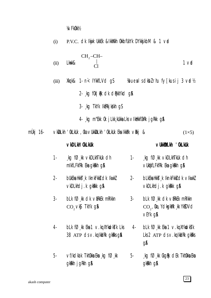**VA/FkOkkV<sub>2</sub>** 

| (i)   | P.V.C. CIK Ikijik Ukkek &IkkWkh OkkbfUkYk DYkkjikbM & 1 vad                                                            |       |                                                                                                                  |
|-------|------------------------------------------------------------------------------------------------------------------------|-------|------------------------------------------------------------------------------------------------------------------|
| (ii)  | $\begin{bmatrix} CH_2-CH-\\  \\ Cl \end{bmatrix}$                                                                      |       | 1 <sub>vd</sub>                                                                                                  |
| (iii) |                                                                                                                        |       |                                                                                                                  |
|       | 2- $kg$ for $R$ and $R$ denotes $q$ and $q$                                                                            |       |                                                                                                                  |
|       | 3- kg TkYk IkfRkjkgkh gS                                                                                               |       |                                                                                                                  |
|       | 4 kg m"Ekk 0k j Lkk kukka Lks v Ikukkf0kRk j g Rkk g &                                                                 |       |                                                                                                                  |
|       | ∨kDLkh 'OkLkUk , Oka ∨UkkDLkh 'OkLkUk Eka IkkBk ∨Rkj &                                                                 |       | $(1\times5)$                                                                                                     |
|       | vkDLkh' OkLkUk                                                                                                         |       | VUKKIDLKH 'OKLKUK                                                                                                |
| $1 -$ | kg fØkk $\vee$ kDLkhTkUk dh<br>mikfLFkfRk Eka gkRkh g&                                                                 | $1 -$ | $\overline{A}$ kg f $\emptyset$ , kk vkDLkhTkUk dh<br>VUKOKFLFKFRK Eka gkRkh g\$                                 |
| $2 -$ | bUkEka Hkksī k lknkFkkš dk lkwkZ              2-         bLkEka Hkksī k lknkFkkš dk ∨lkwkZ<br>vkDLkhdj.k gkRkk g&      |       | vkDLkhdj.k gkRkk g&                                                                                              |
| 3-    | blk fØkk dk vækek mrikkn<br>$CO, VkJ$ TkYk gA                                                                          |       | 3- bLk $f\emptyset$ , kk dk virkels mrikkn<br>$\mathrm{CO}_{2}$ , Oka, YckspkWk k YksDVcl<br>∨EYk q <b>&amp;</b> |
| 4-    | $bLk$ f $\emptyset$ kk Eka 1 $\vee$ kq XYkudksTk Lks 4-<br>38 $ATP$ ds $\vee$ . kg Ikkirk gkirks gia                   |       | $bLk$ f $\emptyset$ kk Eka 1 $\vee$ kq XYkuchks k<br>Lks $2$ ATP $ds \vee$ . kg IkkiRk gkRks<br>gA               |
| 5-    | $\vee$ f/k $\triangleleft$ ka k $\wedge$ Tkhûkka Eka $\downarrow$ k $\Box$ f $\oslash \downarrow$ kk<br>gkkkh jgkkh g& | $5 -$ | $\Box$ kg f $\varnothing$ kk $\complement$ kgRk dEk Tkh $\complement$ kka Eka<br>gkkkh g&                        |

mÙkj 16-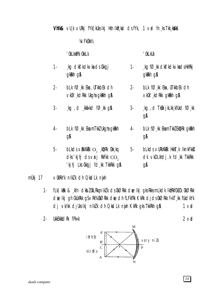**Vhik&** VU k VURKi fYk Fikuks iki Hikh ikiR kid ds fYk, 1 vid fn ks Tikk kikka

**VA/FkOkkV<sub>2</sub>** 

kg dkf'kdkvka ds Ckkgj

 $bLk$  f $O$ <sub>kk</sub> Eka, UTkkbEk clh

vkûk' kd Rkk Ukqha q k Rkh q A

kg d kkiikkd fØkk g&

 $bLk$  f $O$ <sub>k</sub>k Eka mTkkI Ukqha qkRkh

 $b$ Lk $ds$  vækxkæk  $O_2$  , kprk okk, kg

cks 'kjhj cls vnj RkFkk  $CO$ ,

'kjhj Lks Ckkgj fd kk TkkRkk g&

### **' OkLkkPNOkkLk**

gkkkh g&

 $1 -$ 

 $2 -$ 

 $3 -$ 

 $4-$ 

 $5-$ 

#### ' OkLkUk

 $3 -$ 

- $1$ kg fØkk dkf'kdkvkadsHkhRkj gkkkh g&
- bLk fØ kk Eka, UTkkbEk dh  $2$ vkûk' kdrkk akakh an
	- $\log$ , d TkSk jkLkk kfUkd f $\varnothing$  kk **q&**
- **bLk fØkk EkamTkkZEkDRk gkRkh**  $4$ **g&**
- 5**bLkds vURKXKRK HKKT K IKnKFKKZ** dk vkDLkhdj.k fd kk TkkRkk **g&**
- mÙki 17 VOKRKYK nIKZK dh QksdLk nijh

gA

- fLk) kRk & kfn dkbl OkLRkgnIkl k ds OkØRkk dælkj gks RkksmLkdk IkfRkfCkECk OkØRkk  $1$ dælkj gh CkUkRkk gSvRk%OkØRkk dædh fLFkfRk KkRk djdsOkØRkk f«kT kk fUkdkYk dj vk/kk djuks Ikj nlk/k dh QkdLk nijh KkRk gks TkkRkh g&  $1<sub>v</sub>$
- $2 -$ **UkkEkkáciRk fPk«k**

 $\mathbf M$ ifrfcEc vory nilk  $B'$  $\overline{P}$  $\overline{C}$ oLrqfi u  $\overline{A}$ 



 $2$  vid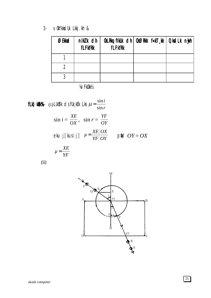∨OkYkksdUk Lkkj.kh &  $3-$ 

| ØEkkad | nikk dh<br><b>fLFkfRk</b> | <b>fLFkfRk</b> | OkLRkq fikUk cih   OkØRkk f«kT_kk   QksdLk nyjh |  |
|--------|---------------------------|----------------|-------------------------------------------------|--|
|        |                           |                |                                                 |  |
|        |                           |                |                                                 |  |
|        |                           |                |                                                 |  |

**VA/FkOkkV**2

**FLk) kRK** (i) LUKYk ds flk,kEk Lks 
$$
\mu = \frac{\sin i}{\sin r}
$$
  
\n
$$
\sin i = \frac{XE}{OX}, \quad \sin r = \frac{YF}{OY}
$$
\n
$$
\text{eku } j \text{ [kus i j]} \quad \mu = \frac{XE/OX}{YF/OY} \qquad \text{pfid } OY = OX
$$
\n
$$
\mu = \frac{XE}{YF}
$$

 $(ii)$ 

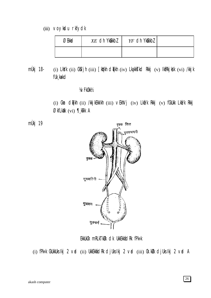#### (iii) voykdu rkfydk

| <b>3Ekkacl</b> | $XE$ dh Yk@kkbl | $YF$ dh Ykûkkbl |  |
|----------------|-----------------|-----------------|--|
|                |                 |                 |  |

(i) LkYk (ii) CkYjh (iii) [kYkh clqTkh (iv) LkgkkTkcl Rkkj (v) lkfRkjkSk (vi) /kkjk mÙkj 18fUk kakd

#### **VA/FkOkkV2**

(i) Ckm clqTkh (ii) /kkjkEkkIkh (iii) vEkhVj (iv) Lkfi/k Rkkj (v) fCkUkk Lkfi/k Rkkj ØkfLkXk (vi) ¶, kTk A

mÙkj 19



EkkUkOk mRLkTkUk dk UkkEkkádRk fPk«k

(i) fPk«k CkUkkUks Ikj 2 vad (ii) UkkEkkand Rk cljUks Ikj 2 vad (iii) Ok. kUk cljUks Ikj 2 vad A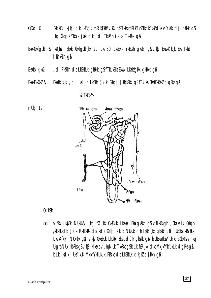- $@kDd$  & EkkUkOk 'kjhj dk IkEkd'k mRLkTkhZ valk qSTkksmRLkTkhZIknkFkkzdksvYkXk dj nakk qS kg Xkgjs YkkYk jikk dk, d TkkMh ik kk TkkRkk g\$
- Ekwkûkkfqukh & Ikr ksd Ekwk ûkkfqukh kkj 20 Lks 30 LksEkh YkECkh qkrkh q\$ vk\$ Ekwkk'k k Eka Tkkdj [kiykRkh g&
- Ekwkk'k k& , ci FkS'kh cis LkEkkuk gkRkk gS fTkLkEka Ekwk LkXkfgRk gkRkk g\$
- Ekwkk'k,k, d Lkadjh UkYkh }kjk Ckkgj [kq'kRkk gSfTkLks EkwkEkkXkZ dgRks g\$ EkwkEkkXkZ &

### **VA/FkOkkV2**



### Ok.kUk

vfRk LkyEk NUkUk& kg fØkk CkkEkUk Lkakiv Eka gkikih g\$vfHkOkkgh , Oka vIk Okkgh  $(i)$ /kEkfUkdk }kjk fUkfEkRk d\$'kdk Xk@n }kjk NUkUk dh IkfØkk qkRkh q& bUkEka Ikks/hUk Lks #f/kj NUkRkk q\$ vk\$ CkkEkUk Lkakw Eka bdëk qkRkk q\$ bUkEka IkksVhUk ds CkMs v.kq Ukgha NUk IkkRks g $S \vee K\$  NkVs  $\vee$ . kg NUk TkkRks g $S$  bLk f $\emptyset$  kk dks Mk kfYkfLkLk dgRks g $\emptyset$ blk Ikcikj Ukšýkuk Mkbfykflklk Fkšyks os Lkekkuk otk kž otjirkh q\$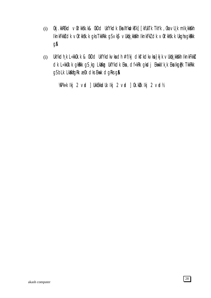- 0kj.kkREkd ∨0k'kk\$k.k& 0kDd UkfYkdk Eka XYkvdkJkTk] [kfUkTk TkYk , 0ka ∨U¸k mIk¸kkXkh  $(i)$ IknkFkki dk v0k' kksk. k gks TkkRkk gS vks vUkqk kkikh IknkFk2 dk v0k' kksk. k Ukgha gkikkk gA
- UkYkdh, k L«kkûk. k & ûkDd UkfYkdkvkadh #f/kj dkf'kdkvka}kj k vUk¢k, kkikh IknkFkki  $(i)$ clk L«kkûk.k gkekk g\$ kg Lkakg UkfYkclk Eka , clf«kRk gksdj Ekwkk'k k Eka Ikgffk TkkRkk gS bLk LkXkfgRk æ0k clks Ekwk clgRks g\$

WPk«k Ikj 2 vad ] UkkEkkadUk Ikj 2 vad ] 0k. kulk Ikj 2 vad½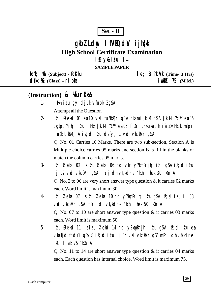### $Set - B$

# gkbl Ldw I fVIQdV i jh(k **High School Certificate Examination** Ifiy&itu i=

**SAMPLE PAPER** 

fork; % (Subject) - fokku

 $d$ {k %  $(Class)$  - n  $0$  m

 $le; 3$   $\mathcal{R}.\mathsf{W}$  (Time- 3 Hrs)  $i$  wkkb $175$  (M.M.)

## (Instruction) & Kunk

- I Hkh itu qy djuk vfuok; lgSA  $1 -$ Attempt all the Question
- itu Øekad 01 ea 10 vad fu/kktir g\$A nksmi [k.M g\$A [k.M ~v\* ea 05  $2$ cqfodYih; itu rFkk [k.M "c\*\* ea 05 fjDr LFkkuka dh ifrl vFkok mfpr l cak tkm, A i R; cd i t u dsfy, 1 v cd vkciVr qSA

Q. No. 01 Carries 10 Marks. There are two sub-section, Section A is Multiple choice carries 05 marks and section B is fill in the blanks or match the column carries 05 marks.

- $3$ itu Øekod 02 lsitu Øekod 06 rd vfr y?konRrih; itu qSA iR; ditu ij 02 vrd vkciNr g\$A mRrj dh vf/kdre 'kCn I hek 30 'kCn A Q. No. 2 to 06 are very short answer type question  $\&$  it carries 02 marks each. Word limit is maximum 30.
- itu Øekod 07 lsitu Øekod 10 rd y?komRrjh; itu q\$A iR; ditu ij 03  $\overline{4}$ vid vkci Vr gs Amri dh vf/kdre 'kin I hek 50 'kin A O. No. 07 to 10 are short answer type question  $\&$  it carries 03 marks each. Word limit is maximum 50.
- $5$ itu Øekod 11 Isitu Øekod 14 rd y?kon Rrjh; itu q\$A ik; ditu ea vkrfjd fod Yi q S v k \$i k; solid u i j 04 v rol v k c \$V r q S A m k r j dh v f/k d r e 'kCn I hek 75 'kCn A

Q. No. 11 to 14 are short answer type question  $&$  it carries 04 marks each. Each question has internal choice. Word limit is maximum 75.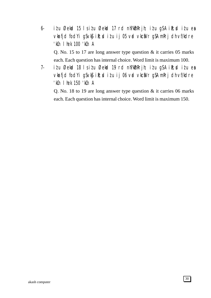- 6- i $i$ u Øekad 15 ls i $i$ u Øekad 17 rd nh?k $\Delta$ mRrjh; i $i$ u g $\Delta$  i $\Omega$ ; di $i$ u esa vkarfjd fod Yigs vk $\mathfrak{g}$  ik; ditu ij 05 vad vkca $V$ r g $S$  A mRrj dh vf/kdre 'kCn lhek 100 'kCn A Q. No. 15 to 17 are long answer type question & it carries 05 marks each. Each question has internal choice. Word limit is maximum 100.
- 7- i $i$ u Øekad 18 ls i $i$ u Øekad 19 rd nh?k $\delta$ mRrjh; i $i$ u gSA i $\delta$ ;sd i $i$ u esa vkrfjd fodYi gSvk\$ ik; ditu ij 06 vrd vkcaVr gSA mRrj dh vf/kdre 'kCn lhek 150 'kCn A

Q. No. 18 to 19 are long answer type question & it carries 06 marks each. Each question has internal choice. Word limit is maximum 150.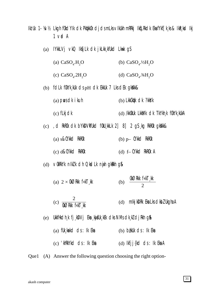Iki Uk 1- 14/1/2 Lkgh fûkd Ylk dk Pkukkûk di dsmLks vikukh mRRki Ikul Rkdk Eka fykf [k ks & Ikr kd Iki]  $1$  vid  $A$ 

- IYkkLVj vkQ IkfjLk dk jkLkk kfUkd Lkwk qS  $(a)$ 
	- (a)  $CaSO<sub>4</sub>$ .H<sub>2</sub>O (b)  $CaSO<sub>4</sub>$  $\frac{1}{2}H<sub>2</sub>O$
	- (d)  $CaSO<sub>4</sub>$ . 3/4H<sub>2</sub>O (c)  $CaSO_4.2H_2O$
- (b) fdLk f0kYk\_kUk ds pH dk EkkUk 7 Lks dEk gkXkk&
	- $(a)$  pus dk i kuh (b) LkkCktk clk ?kkyk
	- $(c)$  flkjdk (d) /kk0kUk Lkk\$/lk cJk TkYkh k f0kYk kUkA

(c) , d RkROk dk bYkDVkfUkd fOkU kkLk 2 8 2 gS kg RkROk gkXkk&

- $(a)$  s&CYkkd RkROk  $(b)$  p- CYKKd RKROK
- (c) d&CYkkcl RkR0k  $(d)$  f CYKkd RKROK A

(d) VOKRKYK nIKZK dh Okollk nijh gkRkh g&

- (b)  $\frac{\text{d} \text{K} \text{R} \text{R} \text{k}}{2}$ (a)  $2 \times$  OKØRKK f«kT kk
- (c)  $\frac{2}{\sqrt{(k)Q}Rkk}$  f«kT kk (d) mlkj kDRk Eka Lks clkbl Ukgha A
- (e) Ukkflikdh k fj kDVj Eka kij fUk kEk dks NMs dk kZ dj Rkh g&
	- (a)  $fUk_k$  kakd  $ds:lk$  Eka  $(b)$  b  $k$ Uk  $ds:lk$  Eka
	- $(c)$  'khRkYkd ds : Ik Eka (d)  $lkfjj{kcl}$  ds :  $lk$  Eka A

Quel (A) Answer the following question choosing the right option-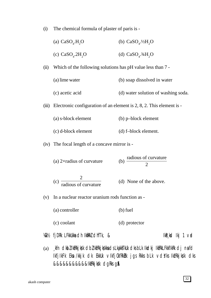(i) The chemical formula of plaster of paris is -

| (a) $CaSO4$ .H <sub>2</sub> O  | (b) $CaSOa$ . $\frac{1}{2}H2O$       |
|--------------------------------|--------------------------------------|
| (c) $CaSO4$ .2H <sub>2</sub> O | (d) $CaSO_{4}$ . 3/4H <sub>2</sub> O |

- (ii) Which of the following solutions has pH value less than 7
	- (a) lime water (b) soap dissolved in water
	- (c) acetic acid (d) water solution of washing soda.
- (iii) Electronic configuration of an element is  $2, 8, 2$ . This element is -
	- (a) s-block element (b) p–block element
	- (c) d-block element (d) f–block element.
- (iv) The focal length of a concave mirror is
	- (a)  $2 \times$ radius of curvature radious of curvature 2
	- (c) 2  $\frac{1}{\text{radius of curvature}}$  (d) None of the above.
- (v) In a nuclear reactor uranium rods function as
	- (a) controller (b) fuel

(c) coolant (d) protector

- $W_k$ k $\sharp$  fj $D$ Rk LFkkUkka dh Ikm $R$ k $\sharp$  dhfTk,  $\&$
- (a) kfn dkbZ IktRkjksk dbZ IktRkjkskka ds Lka̯kksTkUk dks bLk Ikdkj IktRkLFkkfIkRk dj na fd IkfjIkFk Eksa /kkjk dk EkkUk vIkfjOkfRkZRk jgs Rkks bLk vdsYks IkzfRkjks/k dks &&&&&&&&&&&IkfRkjkkk dgRksg&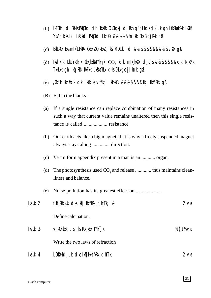- (b) IkFOkh, d CkMs Pk&Ckd dh Hkkarak OʻkOkgkj djRkh gS bLkds dkj.k gh LOkrka:krkk Ikokid YkVdkUks Ikj IkR ksd PkECkd LknGk &&&&&fn'kk Eka BgjRkk g\$A
- (c) EkkUkOk Eksa mIkfLFkRk OkEkhZ QkEkZ ,Iksf.MDLk ,d &&&&&&&&&&&vaXk gSA
- (d) lkdk'k Lka'Yksk.k ûkk¸kqika/Ykh¸k  $\mathbf{co}_{_2}$  dk mik¸kksk djds &&&&&&&dk Nka/ik TkkUkk gh 'kq)Rkk RkFkk LkaRkqYkUk dks CkUkk¸ks j[kuk gSA
- (e) /OkfUk Ikznw"k.k dk LkCkLks vf/kd IkzHkkOk &&&&&&&Ikj IkMRkk gSA
- (B) Fill in the blanks -
- (a) If a single resistance can replace combination of many resistances in such a way that current value remains unaltered then this single resistance is called ................... resistance.
- (b) Our earth acts like a big magnet, that is why a freely suspended magnet always stays along .............. direction.
- (c) Vermi form appendix present in a man is an ........... organ.
- (d) The photosynthesis used  $CO_2$  and release ............. thus maintains cleanliness and balance.
- (e) Noise pollution has its greatest effect on .....................

| $I$ k $I$ Uk 2   | fukLRkkikuk dks ikfjHkkf"kRk dhfTk, &        | $2 \vee$ d     |
|------------------|----------------------------------------------|----------------|
|                  | Define calcination.                          |                |
| $I$ k $I$ Uk 3-  | $\vee$ IkûkRkülk ds nks fük kEk f $Y$ kf [k, | <b>M\$1½vd</b> |
|                  | Write the two laws of refraction             |                |
| <b>Ikd Uk</b> 4- | Lûkkakhdj.k dks IkfjHkkf"kRk dhfTk,          | $2 \vee$ d     |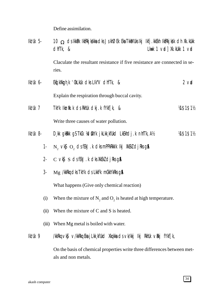Define assimilation.

| $I$ k $I$ Uk 5-  | cliffk, & | 10 $\Omega$ ds Ikkipk IkfRkjkskka dks JskhØEk Eka TkkiMUks Ikj Ikfj. kkEkh IkfRkjksk dh Xk. kUkk | Lkuk 1 $\vee$ id] Xk. kukk 1 $\vee$ id |            |
|------------------|-----------|--------------------------------------------------------------------------------------------------|----------------------------------------|------------|
|                  | ries.     | Claculate the resultant resistance if five resistance are connected in se-                       |                                        |            |
| $I$ k $I$ Uk 6-  |           | Ekd[kXkggh_k 'OkLkUk clks LIk"V clhfTk, &                                                        |                                        | $2$ vid    |
|                  |           | Explain the respiration through buccal cavity.                                                   |                                        |            |
| $I$ k $I$ Uk 7   |           | TKYK Iknik.k ds Rkhuk dkj.k fYkf[k, &                                                            |                                        | 14\$1\$112 |
|                  |           | Write three causes of water pollution.                                                           |                                        |            |
| <b>Ikd Uk</b> 8- |           | D, kk g k Rkk g S T k Ck 1/d Sk Y k j k L k k f U k C L k E k h c J . k m h T k , A 1/2          |                                        | 14\$1\$112 |
| $\ddagger$       |           | $N_2$ $\vee$ k $S$ $O_2$ ds fEkJ k dks mPPkRkkIk Ikj XkEkZ djRks g&                              |                                        |            |
| $2 -$            |           | $C$ vk $\$$ s ds fEkJ. k dks XkEkZ djRks g $\AA$                                                 |                                        |            |
| $3-$             |           | Mg /kkRkq dks TkYk ds LkkFk mCkkYkRks g&                                                         |                                        |            |
|                  |           | What happens (Give only chemical reaction)                                                       |                                        |            |
| (i)              |           | When the mixture of $N_2$ and $O_2$ is heated at high temperature.                               |                                        |            |

- (ii) When the mixture of  $C$  and  $S$  is heated.
- (iii) When Mg metal is boiled with water.
- Ikż Uk 9 /kkRkq ∨k\$ ∨/kkRkq Eka j Lkk¸kfUkd Xkq kka ds ∨k/kkj Ikj RkhUk ∨Rkj fYkf [k,

On the basis of chemical properties write three differences between metals and non metals.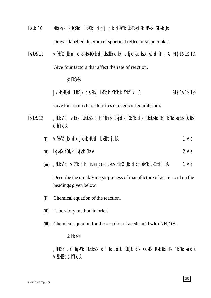- Ikz'Uk 10 XkksYkh, k IkjkOkRkd LkksYkj diplj dk diskYk UkkEkkafdRk fPk«k CkUkkb, ks Draw a labelled diagram of spherical reflector solar cooker.
- Iki Uk&11 vfHkfØkk nj dks IkitkhfOkRk djUks OkkYks Pkkj dkjdka dkso.kU dhft, A ¼1\$1\$1\$1½ Give four factors that affect the rate of reaction.

¼vFkOkk½

jkLkk kfUkd LkkE k ds Pkkj IkEkq[k Yk{k.k fYkf[k, A ¼1\$1\$1\$1½

Give four main characteristics of chemcial equilibrium.

- Ikz'Uk&12 , fLkfVd vEYk fUkEkkZ.k dh 'kh?kz fLkjdk f0kf/k dk fUkEUkkfidRk 'kh"kidka Eka 0k.kiDk dhfTk,A
	- (i)  $\vee$ fHkfØ̯kk dk jkLkk̯kfUkd LkEkhdj.kA 1 vad
	- $(i)$  Ikz kkak fokf/k Lkafkak Eka A  $(ii)$  Ikz kkak  $f(x)$  and  $2 \vee x$
	- (iii) , fLkfVd vEYk dh  $NH_{4}OH$  Lks vfHkf $\emptyset$ , kk dk dskYk LkEkhdj.kA 1 vad

Describe the quick Vinegar process of manufacture of acetic acid on the headings given below.

- (i) Chemical equation of the reaction.
- (ii) Laboratory method in brief.
- (iii) Chemical equation for the reaction of acetic acid with  $NH<sub>4</sub>OH$ .

#### ¼vFkOkk½

,fFkYk ,YdksgkWYk fUkEkkZ.k dh fd.oUk fOkf/k dk Ok.kZUk fUkEUkkafdRk 'kh"kZdksa ds  $\vee$ RkXkRk dhfTk, A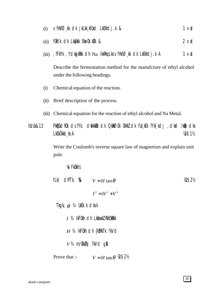- $1<sub>vd</sub>$ vfHkfØkk dk jkLkkkfUkd LkEkhdj.k &  $(i)$
- fûkf/k cik Lkarkisk Eka ûk. külk &  $2$  vd  $(ii)$
- (iii) , fFkYk, YcksgkWk clh Na /kkRkq Lks vfHkfØ kk clk LkEkhclj .k A  $1<sub>v</sub>$

Describe the fermentation method for the manufcture of ethyl alcohol under the following headings.

- Chemical equation of the reaction.  $(i)$
- (ii) Brief description of the process.
- (iii) Chemical equation for the reaction of ethyl alcohol and Na Metal.

PKECkdROk dsfYk, diVkkEk dk 0 kRØEk OkXkZ dk fUk kEk fYk [kdj , dkad /kBk dks **Ikt Uk&13** LkEkÖkkb ks A **18\$11/2** 

> Write the Coulomb's inverse square law of magnetism and explain unit pole.

**VA/FkOkkV2** 

| fLk) dhfTk, $\&$ $V = H \tan \theta$       |                                         | V2\$2½ |
|--------------------------------------------|-----------------------------------------|--------|
|                                            | $I^2 = H^2 + V^2$                       |        |
| Tkgki $\theta$ <sup>3</sup> /4 UkEk.k dksk |                                         |        |
|                                            | $I$ $3/4$ IkFOkh c1h LkakwkZ RkhOkRkk   |        |
|                                            | $H$ 34 IkFOkh dh {k\$RkTk ?kVd          |        |
| $V3$ 4 m/0kk $\ell$ kj ?kVd g\$            |                                         |        |
| Prove that :-                              | $V = H \tan \theta$ $\mathcal{W}$ \$2\% |        |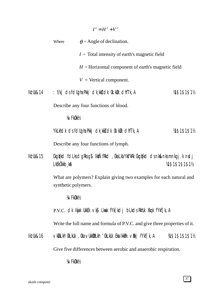|           |                              | $I^2 = H^2 + V^2$                                                                |                 |
|-----------|------------------------------|----------------------------------------------------------------------------------|-----------------|
|           | Where                        | $\theta$ = Angle of declination.                                                 |                 |
|           |                              | $I = \text{Total intensity of earth's magnetic field}$                           |                 |
|           |                              | $H =$ Horizontal component of earth's magnetic field                             |                 |
|           |                              | $V =$ Vertical component.                                                        |                 |
| lk! Uk&14 |                              | : f/kj ds fdllgha Pkkj dk, kk} dk 0k. kuk dhfTk, A                               | 14\$1\$1\$11    |
|           |                              | Describe any four functions of blood.                                            |                 |
|           | <b>VA/FkOkkV<sub>2</sub></b> |                                                                                  |                 |
|           |                              | YkLkhdk ds fdligha Pkkj dk kkj dk 0k kulk dhfTk, A                               | 14\$1\$1\$11    |
|           |                              | Describe any four functions of lymph.                                            |                 |
| lk! Uk&15 | LKEKÖKKb kA                  | Ckgirlkd follis dgirls g\$ lktÑfRkd, Okalka Ykf"kRk Ckgirlkd dsnk&nksmnkgj.k ndj | 14\$1\$1\$1\$1% |
|           | synthetic polymers.          | What are polymers? Explain giving two examples for each natural and              |                 |
|           | <b>VA/FkOkkV<sub>2</sub></b> |                                                                                  |                 |
|           |                              | P.V.C. OK Ikijk Ukkek vkj Lkuk fyk[ko] blkos Rkhuk Xkqk fykf[k, A                |                 |
|           |                              | Write the full name and formula of P.V.C. and give three properties of it.       |                 |
| lk! Uk&16 |                              | ∨kDLkh'OkLkUk , Oka ∨UkkDLkh 'OkLkUk Eka IkkBk ∨Bkj fYkf[k, A                    | 14\$1\$1\$1\$1% |
|           |                              | Give five differences between aerobic and anaerobic respiration.                 |                 |
|           | <b>VA/FkOkkV<sub>2</sub></b> |                                                                                  |                 |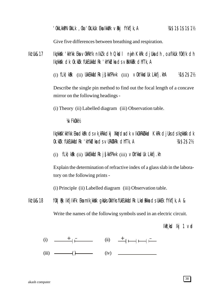Give five differences between breathing and respiration.

Ikz'Uk&17 Ikz¸kksXk 'kkYkk Eksa vOkRkYk nIkZ.k dh Qksdl nwjh KkRk djUksa dh ,oa fIkUk fOkf/k dh Ikz kk**s**K dk Ok. kük fükEUkkfidRk 'kh"kidka ds virkXkir dhfTk, A

(i)  $f L k$ )k $R k$  (ii) UkkEkk $f$ ic $R k$  j $\int$ kk $f$ Pk«k (iii)  $\vee$ OkYkksdUk Lkk $f$ j.khA ¼1\$2\$2½

Describe the single pin method to find out the focal length of a concave mirror on the following headings -

(i) Theory (ii) Labelled diagram (iii) Observation table.

¼vFkOkk½

Ikz¸kksXk'kkYkk Eksa dkaPk ds vk¸kRkkdkj XkqVdsa dk vIkOkRkZUkkad KkRk djUks ds Ikz¸kksXk dk Ok.kZUk fUkEUkkafdRk 'kh"kZdksa ds vURkZXkRk dhfTk,A ¼1\$2\$2½

 $(i)$  fLk)kak  $(ii)$  UkkEkkadRk js $K$ kfPk«k  $(iii)$  vOkYkksdUk Lkkfj.kh

Explain the determination of refractive index of a glass slab in the laboratory on the following prints -

(i) Principle (ii) Labelled diagram (iii) Observation table.

Ikz Uk&18 fOk | Buk IkfjilkFk Eka mik¸kkak gkaks OkkYks fUkEUkkadRk LkadRkka ds UkkEk fYkf[k, A & Write the names of the following symbols used in an electric circuit.

 $I$ k $R$ , ksd  $I$ kj 1 vad

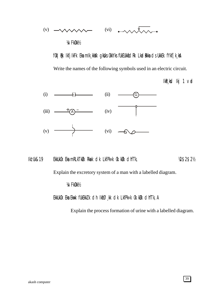

fOk | BK IkfjIkFk Eka mIk¸kkkk gkblks OkkYks fUkEUkkatdRk Lkadarkka ds UkkEk fYkf[k¸ksA

Write the names of the following symbols used in an electric circuit.

 $I kR_s kC I kj 1 vC J$ 



Ikz'Uk&19 EkkUkOk Eka mRLkTkØk Rkack cJk LkfPk«k Ok.kØk cJhfTk,  $\%$ \$2\$2½

Explain the excretory system of a man with a labelled diagram.

¼vFkOkk½

EkkUkOk Eka Ekwk fUkEkkZ k dh Ikfø, kk dk LkfPk«k Ok. kØk dhfTk, A

Explain the process formation of urine with a labelled diagram.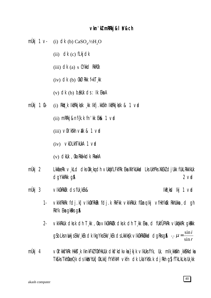### vkn'kl mRRkj & I V&ch

- mÙkj 1 v (i) dk (b)  $CaSO_4$ <sup>1/2H</sup><sub>2</sub>O
	- $(ii)$  dk  $(c)$  flkj dk
	- $(iii)$  dk  $(a)$  s CYkkd RkROk
	- $(iv)$  dk  $(b)$  0k $\emptyset$ Rkk f«kT kk
	- $(v)$  dk  $(b)$  b tkuk ds : Ik Eka A
- mÙkj 1 Ck- $(i)$  Rkd k IkfRkjkgk k Ikfj. kkekh IkfRkjkgk & 1  $\vee$ ad
	- (ii) mRRkj&nf{k.k fn'kk Ek $\&$  1  $\vee$ rd
	- $(iii)$   $\vee$  0k' k k  $\vee$  2k & 1  $\vee$  a cl
	- $(iv)$  vkDLkhTkUkA 1 vad
	- $(v)$  dkUk, Oka Rka kdk Rka kA
- mÙkj 2 LKK**i**jæRk v kLd dks Okk kg dh vUk**u**kfLFkfRk Eka XkYkUkkad Lks UkhPks XkEkZ dj Ukk fUkLRkkIKUk dqYkkRkk q&  $2$  vid
- $m\ddot{\text{U}}$ kj 3 VIKOKRKUK CIS fUK KEK&  $I kR_k s dI k j 1 v dJ$ 
	- $1 -$ VKIKTRKRK fdj.k] VIKOKTRKRK fdj.k RKFKK VKIKRKUK fOkang Ikj VfHkYK&K RKhUKka, d gh RkYk Eka gkRks g&
	- VKIKRKUK dksk dh T kk , 0ka vIk0kRk0k dksk dh T kk Eka , d fUkfÜPkRk vUk¢kkRk qkRkk  $2$ gSbLksnikkjsEkk/, kEk dk lkgYksEkk/, kEk dsLkklk{k vlk0kRklkkad dgRksg&  $\cdot$ .  $\mu = \frac{\sin i}{\sin r}$
- mÙkj 4 ∨0k'kk\$"kRk Hkkst k IknkFkZ f0kfHkUUk dk\$'kdk∨ka}kjk ∨lkUks fYk, Uk, mlk kk&kh kk\$Xkdka TKS Ks TkhOkæ0 k ds Ikks/hUk] OkLkk] fYkfIkM vkfn dk Lka Yksk. k dj Rkh g\$ fTkLkLks Uk kk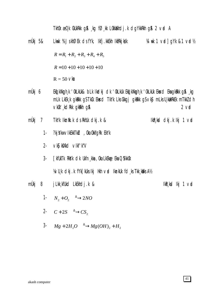Tkhûk æû k Ckukrkk q\$ kq fØ kk Lûkkakhdj. k dgYkkrkh q\$ 2 væl A

- Lkuck % JskhØEk dsfYk, Ikfj.kkEkh IkfRkjkgk  $\frac{1}{4}$  with 1 viol q  $\frac{1}{4}$  and  $\frac{1}{4}$  and  $\frac{1}{4}$ mÙkj 5&  $R = R_1 + R_2 + R_3 + R_4 + R_5$  $R = 10 + 10 + 10 + 10 + 10$  $R = 50$  Vke
- mÙkj 6 Ekq kXkgh k 'OkLkUk& bLk Ikclkj clk 'OkLkUk Ekq kXkgh k 'OkLkUk Eka<cl Eka gkRkk g\$ ,kg mLk LkEk, k gkRkk gSTkCk Eka<d TkYk LksCkkgj gkRkk gSvkg mLksU, kulkRkEk mTkkZ clh vkůk' kdrkk gkrkh g&  $2$  vid
- mÙkj 7 TkYk Ikniik.k ds Rkhuk dkj.k &  $I kR_k kC1$  ckj.k lkj 1 vad
	- ?kj¥kw∨lkEkkTkZd, Oka OkkfgRk EkYk  $1 -$
	- vkS| kfXkd vlkf'k"V  $2 -$
	- $3 -$ **FIXTUKTK RKYK CIK UKfn kka, Oka LKEkge Eka QYKKOK** VA/U k dkj k fYk [kUks lkj Hkh vrd IknkUk fd ks Tkk kaks A1/2
- mÙkj 8 j Lkk kfUkd LkEkhdj.k &  $I kR_k s dI k j 1 v dJ$ 
	- 1-  $N_2 + O_2 \xrightarrow{\Delta} 2NO$
	- 2-  $C+2S \xrightarrow{\Delta} CS_2$
	- 3-  $Mg + 2H_2O \longrightarrow Mg(OH)_2 + H_2$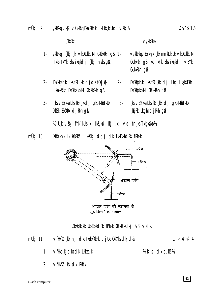/kkRkq

 $3 -$ 

 $V/kkRkR$ 

- /kkRkg; {kkjhk vkDLkkbM CkUkkRkh qS 1- $1 -$ V/kkRkgVEYkh k kk mnkLkhUk VkDLkkbM Tkks TkYk Eka ?kqYkdj {kkj nRks g& CkUkkRkh gå Tkks TkYk Eka ?kq'kdj vEYk CkUkkRkh q&
- DYKKS hUk Lks f $\varnothing$  kk clicls for  $\vert \mathbb{R}$ k  $2 2 DY$ kký huk Lks f $O$ <sub>kk</sub> dj Lkq Lką kky Lkakkstkh DYkksjkbM CkUkkRkh q& DYKKS KbM CKUKKRKh Q&
	- ks vEYkka Lks fØ kkdj gkbMitTkUk  $3 -$ XKSLK EKIDRK cljRKh q&

ks  $\vee$ EYkka Lks f $\varnothing$  kk dj gkbMtTkuk  $\frac{1}{2}$ kipik Ukgha djikih gisa

14/U k viki fYk Fikuks Iki Iki kod Iki , d vad fn ks Tkk kaka 1/2

mÙkj 10 Xkkykh k Ikjk0kRkd Lkkykj drdj dk UkkEkkidRk fPk«k



सूर्य किरणों का संग्रहण

14kwkRk kk UkkEkkfidRk fPk«k CkUkkUks lkj &3 vrd½

mÙkj 11 ∨fHkfØkk nj dks IkHkkf0kRk djUks 0kkYks dkjd&  $1 \times 4$  3/4 4

- vfHkdkj dka dk Lkkae.k Vi R: cd clk o.kLu1/2  $1 -$
- $2 VfHkfØ_kk$  dk Rkklk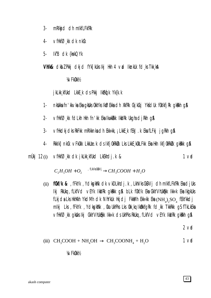- $3$ mRIkid dh mIkfLFkfRk
- $VfHkfØ_kk dk$  dk nk $@k$  $4-$
- 5-Ik"B dk {kskQYk

**Vhik& cikb** Z Pikkj cikj ci fyk [kuks ikj ikh 4 vad iknikuk fd ks Tikk ka

**VA/FkOkkV<sub>2</sub>** 

j kLkk kfUkd LkkE k ds Pkkj IkEkd k Yk{k.k

- $1$ nkbikka fn'kkvka Eka gkbiks ûkkyks IkØEkka dh XkfRk CkjkCkj YkfdUk fûklkfjRk gkikih g\$
- vfHkfØkk fdLkh Hkh fn'kk EkalkwkRkk IkkIRk UkghadjRkh g\$  $2 -$
- $3$ vfHkdkjdks RkFkk mRIkknka dh Ekk«kk, ¡LkkE k fEkJ k Eka fLFkj jgRkh g\$
- $4 Rkklk$ ] n $k$ Ck  $\vee$ FkOkk LkkUæ. k ds IkfjOk $Rk\mathbb{Z}$ k Lks LkkE kOkLFkk Eka Hkh IkfjOk $Rk\mathbb{Z}$ k qk $Rk$ k q $\mathbb A$
- vfHkfØ, kk dk jkLkk, kfUkd LkEkhdj. k & mÙkj  $12(i)$  $1<sub>v</sub>$

 $C_2H_5OH + O_2 \longrightarrow^{\text{filWkGBVj}} CH_3COOH + H_2O$ 

(ii) **fükf/k &** , fFkYk , YcksgkWk clk vkDLkhclj.k, LkhVks CkDVj clh mIkfLFkfRk Eka cljUks Ikj RkUkq , fLkf∨d ∨EYk IkkIRk qkRkk q\$ bLk f0kf/k Eka CkkYVhUk&kk Ikk«k Eka IkqikUks fLkjda Lks HkhXkh YkdMh dk NhYkUk Hkjdj FkkMh Ekk«kk Eka ( $NH_4$ )<sub>2</sub>SO<sub>4</sub> fEkYkkdj mikj Lks, fFkYk, YcikspkWk, Oka UkhPks Lks Okk kg IkOkkfojRk fol kk TkkRkk oj fTkLkEka ▽fHkfØ、kk qkbks lkj CkkYVhUkhkk lkk«k ds UkhPks RkUkq , fLkfVd ∨EYk IkkIRk qkRkh q&

 $2$  vrd

(iii) 
$$
CH_3COOH + NH_4OH \rightarrow CH_3COONH_4 + H_2O
$$
 1 v**d**

**VAVFKOKKV2** 

43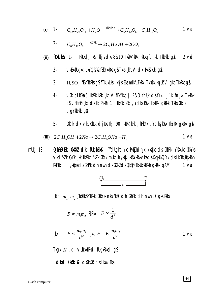(i) 1- 
$$
C_{12}H_{22}O_{11} + H_2O \xrightarrow{\text{TMDEKJk}} C_6H_{12}O_6 + C_6H_{12}O_6
$$
 1 V**d**

$$
2\cdot C_6H_{12}O_6 \xrightarrow{\text{bllov/kt}} 2C_2H_5OH + 2CO_2
$$

RKUkoplj.k&'khjscks8&10 lkork'kRk RkUkqfcl.kk TkkRkk g\$1 **f0kf/k&** 1- $2 \vee$ d  $(ii)$ 

- VKEKKSUK KK LKYQSV&fEKYKKRKS 98 TKKS KhLV CIK HKKSTKUK 98  $2 -$
- $3 H_{2}SO_{4}$  fekykkRks gS fTkLkLks 'khjs Eka mikfLFkRk TkhOkk. kq Uk"V gks TkkRks g**\$**
- $4$ vů blkeka 5 lktRk kRk khlv fekykkchj 2&3 fnuk chstYk, j[k fn kk TkkRkk g\$vfHkfØ, kk ds Ik'PkkRk 10 IkfRk'kRk, YdkgkWk IkkIRk gkRkk Tkks 0kk'k dgYkkRkk g&
- $5-$ Okk'k dk vkLkOkUk djUkslkj 90 IktRk'kRk , fFkYk , YdkspkWk IkkIRk gkRkk g&

(iii) 
$$
2C_2H_2OH + 2Na \rightarrow 2C_2H_2ONa + H_2
$$
 1 v**d**

mÙkj 13 **O kRØEK OKXKZ CIK fUk KEK& "fclugha nks PkECkclh k /kBkka cIs CkhPk YkXkUks OkkYks** Vkd"kZ k CkYk ¸kk lkfRkd"kZ k CkYk mUkdh /kfk lkfkYkRkkVkads Xkq kUkQYk ds LkEkkUktkkRkh **/kikka ds CkhPk dh nijh ds 0kXkZ ds 0 kBQ EkkUkikkkkh qkBkk q\$\*\*** RkFkk  $1<sub>v</sub>$ 

$$
\begin{array}{c}\nm_1 \hspace{2.5cm} m_2 \\
\hline\n\end{array}
$$

kfn  $m_1, m_2$  /kojkikčk $Y$ kRkk Okk $Y$ ks nks /kojk dh OkhPk dh niyih  $d$  gks Rkks

$$
F \propto m_1 m_2 \quad \text{RkFKk} \quad F \propto \frac{1}{d^2}
$$

$$
\text{g}^{\text{th}} \qquad F \sim \frac{m_1 m_2}{d^2} \quad \text{g}^{\text{th}} \quad F = K \frac{m_1 m_2}{d^2} \qquad \qquad 1 \text{ V}^{\text{th}} \quad
$$

Tkgkj  $K$ , d vlktkkfrkd flk krkkad qs

, **cikad /kak &** civikkilk cis Lkwk Eka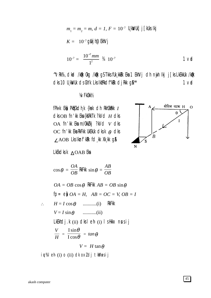$$
m_1 = m_2 = m, d = 1, F = 10^{-7} \text{ U[kWUk]} j \text{ [kUks lk]}
$$
  

$$
K = 10^{-7} \text{ g} \text{Uk} \text{ j} \text{ m} \text{C} \text{Eh} \text{N} \text{ j}
$$
  

$$
10^{-7} = \frac{10^{-7} \text{ mm}}{1^2} \text{ } \frac{3}{4} \text{ } 10^{-7} \text{ } \text{ } 1 \text{ Vt}
$$

"VRK%, cikaci /kojk Okg /kojk g\$TkksfUk\_kkRk Eka 1 EkhVj cih nyih ikj j[ks LkEkkUk /kojk dks 10 U kWUk ds CkYk Lks IkfRkdf"kRk dj Rkk g\$<sup>\*\*</sup>  $1<sub>v</sub>$ 

 $\boldsymbol{B}$ 

### **VA/FkOkkV<sub>2</sub>**

fPk«k Ek) PkECkch, k {ksk clh RkhOkRkk I  $dk$  OB fn'kk Eka {kfRkTk ?kVd  $H$  dks OA fn'kk Ekam/OkkZkj ?kVd v dks OC fn'kk Eka RkFkk UkEkUk dksk  $\theta$  dks ∠AOB Lks Iknf'kRk fd, kk Xk, kk g\$

LkEkdks  $k \triangle OAB$  Eka

$$
\cos \theta = \frac{OA}{OB} \text{ RkFK} \sin \theta = \frac{AB}{OB}
$$
  
\n
$$
OA = OB \cos \theta \text{ RkFK} \ AB = OB \sin \theta
$$
  
\nfp = ej  $OA = H$ ,  $AB = OC = V$ ,  $OB = I$   
\n
$$
\therefore H = I \cos \theta \quad \text{........... (i)}
$$
  
\nRkFK  
\n
$$
V = I \sin \theta \quad \text{........... (ii)}
$$
  
\nLkKhdj.k (ii) dks l e'h (i) l sHkkx nusij  
\n
$$
\frac{V}{H} = \frac{I \sin \theta}{I \cos \theta} = \tan \theta
$$
  
\n
$$
V = H \tan \theta
$$
  
\ni \psi% l e h (i) o (ii) dk oxldj tkMusij

 $\ddot{\phantom{0}}$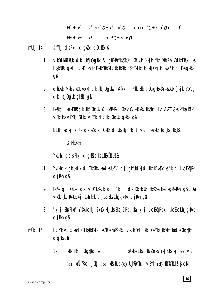$$
H^2 + V^2 = I^2 \cos^2 \theta + I^2 \sin^2 \theta = I^2 (\cos^2 \theta + \sin^2 \theta) = I^2
$$

 $H^2 + V^2 = I^2$  [:  $\cos^2 \theta + \sin^2 \theta = 1$ ]

#### #f/kj dsPkkj dkkldk 0k.kUk & mÙki 14

- VKDLKhTKUk dk Ikfj0kgUk & ghEkkXYkkfCkUk '0kLkUk }kjk Ykh XkbZ vkDLkhTkUk Lks  $1 -$ Lkakiprik qikidi vikidlikh fqekkida Yikis Cikukikikh qsf Tiklikdik Ikfj Okquik Ikijis 'kjinj Eka qikikiki qA
- $\alpha$ kCkWk Mkb $\vee$ kDLkkbM cIk Ikfj0kqUk& #f/kj IYkkTEkk ,0ka qhEkkXYkkSCkUk }kjk  $\cos$  $2$ dk Ikfjûkguk gkakk ga
- Ikkskd IknkFkkš dk Ikfj OkgUk & IkfPkRk , Oka vOk' kks"kRk Ikkskd IknkFkZ TkSLks XYkndksTk]  $3 -$ VEKhUKks VEYK] OKLKK VEYK OK IKfj OkqUk qKRKK q&

blkh Ikdkj vu k dk ki dk (k ki djuks Ikj Hkh 1 vrd Iknkuk fd ks Tkk ka

**VA/FkOkkV2** 

YkLkhdk ds Pkkj dk kkx dks LkEkökkUkk&

- YkLkhdk gkfUkdkjd TkhOkkvkadksUk"V dj gkfUkdkjd IknkFkk&dks'kjhj LksEkDRk  $1$  $d$  i Rkh  $q$  &
- $2 -$ IkPks gg 0kLkk dk ∨0k'kkšk.k dj 'kjhj ds f0kfHkUUk HkkXkka Eka Ikg@kkRkh g\$,0ka VKOK' kdRkkUkutki LkaPkRk djUks Eka Lkgk kRkk djRkh q\$
- 'kjhj Eka Pkkš/ YkXkUks Ikj ?kkOk HkjUks Eka jDRk , Oka 'kjhj Lks EkipRk djUks Eka Lkgk kRkk  $3$ dikh q&
- $m\dot{\mathsf{U}}$ kj 15 Lkj Yk v. kg/kads LkakksTkUk Lks CkUksmPPkRkj vk. kf0kd Hkkj 0kkYks kk\$Xkdkadks CkqiYkd  $d$ qRks q $\mathbf{\hat{a}}$ 
	- IkkÑfRkd Ckgiykd & bukEka Lks clkbZ nks fYk [kuks lkj &2 vrd  $1 -$

(a)  $I$ kk $\tilde{N}$ fRkd  $j$ (k)  $(i)$   $I$ kk $j$ huk (c)  $U$ <sub>k</sub> $f$ i $D$ Ykd  $V$ EYk (d)  $I$ kk $f$ i $W$ k $L$ k $S$ d $j$ k $D$ M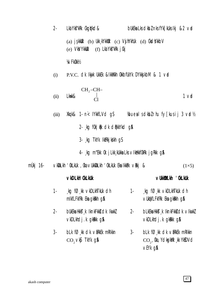$2 -$ Lka Yk**s**"kRk Ckgd**y**kd& bukeka Lks cikbz nks fyk $\lceil$ kuks ikj &2 vad (a)  $i$ \$kkuk (b) Ukk kYkkuk (c) V $j$ hYkhuk (d) CksdYkkbV (f) Lkd Ykf"kRk j Ckj  $(e)$  Vky Ykkuk **VA/FkOkkV2** P.V.C. OK Ikirk Ukkek & Kkwakh OkkbfUkyk DykksikbM & 1 vrd  $(i)$ Lkwk& $\begin{bmatrix} CH_2-CH-\\ |\\ Cl \end{bmatrix}$  $1<sub>vd</sub>$  $(ii)$ Xkqk& 1- n< IYkkfLVd g\$ %bueal sdkbl rhu fy [kusij 3 vad\%  $(iii)$ 2- kg f0k | Rk dk dPkkYkd g& 3- kg TkYk IkfRkjkgkh qS 4 kg m"Ekk 0k j Lkk kukka Lks v Ikukkf0kRk j g Rkk g &  $m\ddot{\theta}$ kj 16-VKDLkh 'OkLkUk , Oka VUkkDLkh 'OkLkUk Eka IkkBk VRkj &  $(1\times5)$ vkDLkh' OkLkUk VUKKWLKH 'OKLKUK kg f $\emptyset$ , kk vkDLkhTkUk dh kg føkk vkDLkhTkUk dh  $1 1$ mikfLFkfRk Eka gkRkh g& VUKOKfLFKfRk Eka qkRkh q& bukeka Hkkst k lknkfkks dk lkwkZ  $2 2$ bLkEka HkksT, k lknkFkkš dk ∨lkwkZ vkDLkhdj.k gkRkk g& vkDLkhdj.k gkRkk g&  $3$ bLk fØkk dk vækek mRIkkn blk føkk dk vækek mrikkn  $3 -$ CO<sub>2</sub> vkg TkYk g&  $CO<sub>2</sub>$ , Oka, YckspkWk , kk YksDVcl vEYk q&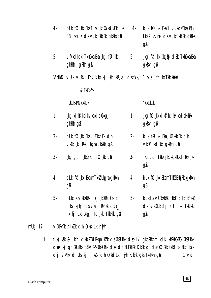| 4-        | $bLk$ f $\emptyset$ , kk Eka 1 $\vee$ . kq XYkudk $\overline{sk}$ Lks 4-<br>38 $ATP$ $ds \vee$ . kq Ikkirk gkrks gn                           |       | $bLk$ f $\emptyset$ , kk Eka 1 $\vee$ . kg XYkudkstk<br>Lks $2$ ATP $ds \vee$ . kg IkkiRk gkRks<br><b>g&amp;</b> |
|-----------|-----------------------------------------------------------------------------------------------------------------------------------------------|-------|------------------------------------------------------------------------------------------------------------------|
| 5-        | ∨f/kdka k Tkh0kka Eka ¸kg fظkk<br>gkkkh jgkkh g&                                                                                              | $5 -$ | $\Box$ kg f $\varnothing$ kk $\Omega$ kgRk cl $\Box$ k Tkh $\Omega$ kka Eka<br>gkkkh g&                          |
|           | <b>Vhik&amp;</b> $\vee$ U <sub>s</sub> k $\vee$ URkj fYk[kUks Ikj Hkh IkR <sub>s</sub> ks] $ds$ fYk, 1 $\vee$ ad fn <sub>s</sub> ks Tkk, kaka |       |                                                                                                                  |
|           | <b>YA/FkOkkY2</b>                                                                                                                             |       |                                                                                                                  |
|           | ' OkLkkPNOkkLk                                                                                                                                |       | ' OkLkUk                                                                                                         |
| 1-        | kg dkf'kdkvka ds Ckkgj<br>gkkkh g&                                                                                                            | $1 -$ | $\Box$ kg f $\varnothing$ $\Box$ kk dk $\mathsf{f}'$ kdk $\lor$ kadsHkh $\mathsf{kk}$ j<br>gkkkh g&              |
| $2 -$     | $bLk$ f $O$ kk Eka , UTkkbEk clh<br>$\vee$ kûk' kd $R$ kk Ukgha gk $R$ kh g $\Re$                                                             | $2 -$ | $bLk$ f $O_{k}$ kk Eka, UTkkbEk clh<br>vkûk' kdRkk gkRkh g&                                                      |
| <u>3-</u> | $\Box$ kg, d $\Box$ kki kkd f $\oslash$ kk g $\&$                                                                                             | $3 -$ | $\alpha$ , kg, d Tk $\alpha$ jkLkk kfukd f $\varnothing$ , kk<br><b>g&amp;</b>                                   |
| 4-        | $bLk$ f $O$ <sub>k</sub> k EkamTkkI Ukgha gkRkh<br>gA                                                                                         | 4-    | $bLk$ f $O_{k}$ kk EkamTkkZ EkipRk gkirkh<br>gА                                                                  |
| 5-        | <b>blkds</b> $\vee$ RkXkRk $O$ , kpRk 0kk kq<br>dks 'kjhj ds $\nu$ nj RkFkk $CO$ ,<br>'kjhj Lks Ckkgj fd kk TkkRkk g&                         | 5-    | $b$ Lk $ds$ vurkxkrk Hkk $\bar{s}$ k IknkFkk $\bar{s}$<br>dk vkDLkhdj.k fd, kk TkkRkk<br><b>g&amp;</b>           |
|           | ∨0kRkYk nIkZk dh QksdLk nijh                                                                                                                  |       |                                                                                                                  |

fLk) kRk & "kfn cIkbZ 0kLRkq nIkZ k cIs 0kØRkk cIællkjgks Rkks mLkcIk IkfRkf0kE0k 0kØRkk  $1$ dæ Ikj gh CkUkRkk gSvRk%OkØRkk dæ dh fLFkfRk KkRk djdsOkØRkk f«kT, kk fUkdkYk dj vk/kk djuks Ikj nlk/k dh QkdLk nijh KkRk gks TkkRkh g\$  $1<sub>v</sub>$ 

mÙkj 17

48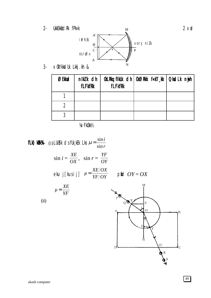**UkkEkkfidRk** fPk«k  $2 -$ 



 $\overline{\mathbf{M}}$ 

vükYkksdük Lkkj.kh &  $3 -$ 

| ØEkkad | nikk dh<br><b>fLFkfRk</b> | <b>fLFkfRk</b> | OkLRkg fikUk cih   OkØRkk f«kT kk   QksdLk nijh |  |
|--------|---------------------------|----------------|-------------------------------------------------|--|
|        |                           |                |                                                 |  |
|        |                           |                |                                                 |  |
| ി      |                           |                |                                                 |  |

**VA/FkOkkV2** 

**fLk) kRk%**- (i) LUkS<sup>y</sup>k cJs fUk<sub>s</sub>kEk Lks  $\mu = \frac{\sin i}{\sin r}$  $\sin i = \frac{XE}{OX}$ ,  $\sin r = \frac{YF}{OY}$ eku j[kusij]  $\mu = \frac{XE/OX}{YF/OY}$  pfiel  $OY = OX$  $\mu = \frac{XE}{YF}$  $\sum_{i=1}^{N}$  $(ii)$ 



 $2<sub>v</sub>$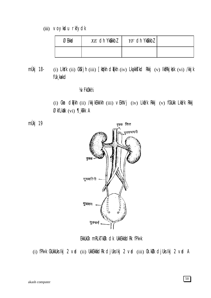### (iii) voykdu rkfydk

| <b>3Ekkacl</b> | $XE$ dh Yk@kkbl | $YF$ dh Ykûkkbl |  |
|----------------|-----------------|-----------------|--|
|                |                 |                 |  |

(i) LkYk (ii) CkYjh (iii) [kYkh clqTkh (iv) LkgkkTkcl Rkkj (v) lkfRkjkSk (vi) /kkjk mÙkj 18fUk kakd

### **VA/FkOkkV2**

(i) Ckm clqTkh (ii) /kkjkEkkIkh (iii) vEkhVj (iv) Lkfi/k Rkkj (v) fCkUkk Lkfi/k Rkkj ØkfLkXk (vi) ¶, kTk A

mÙkj 19



EkkUkOk mRLkTkUk dk UkkEkkádRk fPk«k

(i) fPk«k CkUkkUks Ikj 2 vad (ii) UkkEkkand Rk cljUks Ikj 2 vad (iii) Ok. kUk cljUks Ikj 2 vad A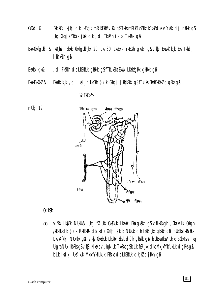- $@kDd$  & EkkUkOk 'kjhj dk IkEkd'k mRLkTkhZ valk qSTkksmRLkTkhZIknkFkkzdksvYkXk dj nakk qS kg Xkgjs YkkYk jikk dk, d TkkMh ik kk TkkRkk g\$
- Ekwkûkkfqukh & Ikr ksd Ekwk ûkkfqukh kkj 20 Lks 30 LksEkh YkECkh qkrkh q\$ vk\$ Ekwkk'k k Eka Tkkdj [kiykRkh g&
- Ekwkk'k k& , ci FkS'kh cis LkEkkuk gkRkk gS fTkLkEka Ekwk LkXkfgRk gkRkk g\$
- Ekwkk'k,k, d Lkadjh UkYkh }kjk Ckkgj [kq'kRkk gSfTkLks EkwkEkkXkZ dgRks g\$ EkwkEkkXkZ &

### **VA/FkOkkV2**



### Ok.kUk

vfRk LkyEk NUkUk& kg fØkk CkkEkUk Lkakiv Eka gkikih g\$vfHkOkkgh , Oka vIk Okkgh  $(i)$ /kEkfUkdk }kjk fUkfEkRk d\$'kdk Xk@n }kjk NUkUk dh IkfØkk qkRkh q& bUkEka Ikks/hUk Lks #f/kj NUkRkk q\$ vk\$ CkkEkUk Lkakw Eka bdëk qkRkk q\$ bUkEka IkksVhUk ds CkMs v.kq Ukgha NUk IkkRks g $S \vee k\$  NkVs  $\vee$ . kg NUk TkkRks g $S$  bLk f $\emptyset$  kk dks Mk kfYkfLkLk dgRks g $\emptyset$ blk Ikcikj Ukšýkuk Mkbfykflklk Fkšyks os Lkekkuk otk kž otjirkh q\$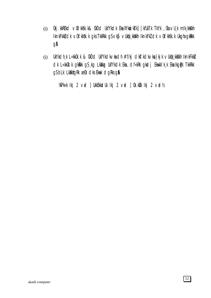- 0kj.kkREkd ∨0k'kkšk.k& 0kDd UkfYkdk Eka XYkudksTk] [kfUkTk TkYk , 0ka ∨U¸k mIk¸kkXkh  $(i)$ IknkFkki dk v0k' kksk. k gks TkkRkk gS vks vUkok kkikh IknkFk2 dk v0k' kksk. k Ukgha gkikkk gA
- UkYkdh, k L«kkûk. k & ûkDd UkfYkdkvkadh #f/kj dkf'kdkvka}kj k vUk¢k, kkikh IknkFkki  $(i)$ clk L«kkûk.k gkekk gs kg Lkakg Ukfykcik Eka , cif«kRk gksij Ekwkk'k k Eka Ikgipk TkkRkk gS bLk LkXkfgRk æ0k clks Ekwk clgRks g\$

WPk«k Ikj 2 vad ] UkkEkkadUk Ikj 2 vad ] 0k. kulk Ikj 2 vad½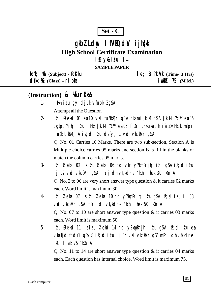### $Set - C$

# gkbl Ldw I fVIQdV i jh(k **High School Certificate Examination** lfiy&itu i=

**SAMPLE PAPER** 

fork; % (Subject) - fokku

 $d$ {k %  $(Class)$  - n  $0$  m

 $le; 3$   $\mathcal{R}.\mathsf{W}$  (Time- 3 Hrs)  $i$  wkid 75  $(M.M.)$ 

### (Instruction) & Kunk

- I Hkh itu qy djuk vfuok; lgSA  $1 -$ Attempt all the Question
- itu Øekad 01 ea 10 vad fu/kktir g\$A nksmi [k.M g\$A [k.M ~v\* ea 05  $2$ cqfodYih; itu rFkk [k.M "c\*\* ea 05 fjDr LFkkuka dh ifrl vFkok mfpr l cak tkm, A i R; cd i t u dsfy, 1 v cd vkciVr qSA

Q. No. 01 Carries 10 Marks. There are two sub-section, Section A is Multiple choice carries 05 marks and section B is fill in the blanks or match the column carries 05 marks.

- $3$ itu Øekod 02 lsitu Øekod 06 rd vfr y?konRrih; itu qSA iR; ditu ij 02 vrd vkciNr g\$A mRrj dh vf/kdre 'kCn I hek 30 'kCn A Q. No. 2 to 06 are very short answer type question  $\&$  it carries 02 marks each. Word limit is maximum 30.
- itu Øekod 07 lsitu Øekod 10 rd y?kon Rrjh; itu q\$A ik; ditu ij 03  $\overline{4}$ vid vkciiVr q\$A mRrj dh vf/kdre 'kch I hek 50 'kch A O. No. 07 to 10 are short answer type question  $\&$  it carries 03 marks each. Word limit is maximum 50.
- $5$ itu Øekod 11 Isitu Øekod 14 rd y?kon Rrjh; itu q\$A ik; ditu ea vkrfjd fod Yi q S v k \$i k; solid u i j 04 v rol v k c \$V r q S A m k r j dh v f/k d r e 'kCn I hek 75 'kCn A

Q. No. 11 to 14 are short answer type question  $\&$  it carries 04 marks each. Each question has internal choice. Word limit is maximum 75.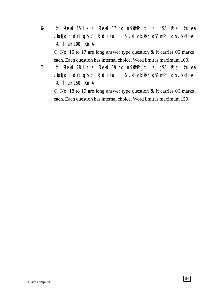- 6- i $i$ u Øekad 15 ls i $i$ u Øekad 17 rd nh?k $\Delta$ mRrjh; i $i$ u g $\Delta$  i $\Omega$ ; di $i$ u esa vkarfjd fodYi gSvk\$ ik; ditu ij 05 vad vkcaNr gSA mRrj dh vf/kdre 'kCn lhek 100 'kCn A Q. No. 15 to 17 are long answer type question & it carries 05 marks each. Each question has internal choice. Word limit is maximum 100.
- 7- i $i$ u Øekad 18 ls i $i$ u Øekad 19 rd nh?k $\delta$ mRrjh; i $i$ u gSA i $\delta$ ;sd i $i$ u esa vkrfjd fodYi gSvk\$ ik; ditu ij 06 vrd vkcaVr gSA mRrj dh vf/kdre 'kCn lhek 150 'kCn A

Q. No. 18 to 19 are long answer type question & it carries 06 marks each. Each question has internal choice. Word limit is maximum 150.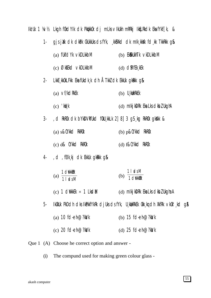Ikt Uk 1 ¼/½ Lkgh f0kdYlk dk Pktkk0k dj mLks vlkUkh mRRkj IkqLRkdk EkafYkf[k, &

| 1-    | gjsjäk dk dkPtk CkUkkUks dsfYk, kkBXkd dk mlk kkAk fd kk TkkRkk g& |                                                                                           |
|-------|--------------------------------------------------------------------|-------------------------------------------------------------------------------------------|
|       | (a) flkfd $Yk$ vkDLkkbM                                            | (b) EK <b>&amp;</b> kUkhTk vkDLkkbM                                                       |
|       | (c) ØkfEkd vkDLkkbM                                                | (d) <b>CIMFEK</b> , KEK                                                                   |
| $2 -$ | LKKE KKOKLFKK EKA fUKICK K clh ÅTKKZ clk EKKUK gKRKK g&            |                                                                                           |
|       | (a) vf/kdRkEk                                                      | $(b)$ U kWkRkEk                                                                           |
|       | $(c)$ ' $\mathbf{W}$ <sub>s</sub> $\mathbf{k}$                     | (d) mikjkDRk Eka Lks dkbl UkghA                                                           |
| $3-$  | , d RkROk dk bykDVRfUkd fOkU kkLk 2] 8] 3 gS kg RkROk gkXkk &      |                                                                                           |
|       | (a) s&CYkkd RkR0k                                                  | $(b)$ p&CYkkd RkROk                                                                       |
|       | (c) d& CYKkd RkROk                                                 | (d) f&CYkkd RkROk                                                                         |
| 4-    | , d, fElk kj dk Ekkuk gkakk g&                                     |                                                                                           |
|       | (a) $\frac{1 \text{ dWk}}{1 \text{ Ld} sM}$                        | $1$   $\alpha$ sM<br>(b)<br>1 dWkkWk                                                      |
|       | (c) 1 $dW$ kkek $\times$ 1 LkclM                                   | (d) mlkj kDRk Eka Lks clkbl Ukgha A                                                       |
| 5-    |                                                                    | Ikûkuk PkDdh diks IkPiktî Ykrk djulis ds fylk, lu kwikrikek ûkk kg din XkfRk vkûk' kd g\$ |
|       | (a) 10 $f$ d-eh $\omega$ ?k $\lambda$ k                            | (b) 15 $fd$ -eh $@$ ?ka/k                                                                 |
|       | (c) 20 $\text{fd-eh@?k}$                                           | (d) 25 fd-eh@?kWk                                                                         |

Que 1 (A) Choose he correct option and answer -

The compund used for making green colour glass - $(i)$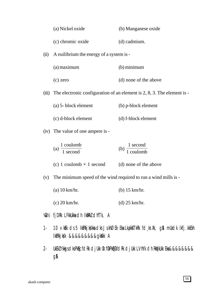|       | (a) Nickel oxide                                                | (b) Manganese oxide                                                                                         |
|-------|-----------------------------------------------------------------|-------------------------------------------------------------------------------------------------------------|
|       | (c) chromic oxide                                               | (d) cadmium.                                                                                                |
| (ii)  | A euilibrium the energy of a system is -                        |                                                                                                             |
|       | (a) maximum                                                     | (b) minimum                                                                                                 |
|       | $(c)$ zero                                                      | (d) none of the above                                                                                       |
| (iii) |                                                                 | The electronic configuration of an element is 2, 8, 3. The element is -                                     |
|       | (a) 5- block element                                            | (b) p-block element                                                                                         |
|       | (c) d-block element                                             | (d) f-block element                                                                                         |
|       | (iv) The value of one ampere is -                               |                                                                                                             |
|       | $\frac{1 \text{ coulomb}}{1 \text{ second}}$<br>(a)             | (b) $\frac{1 \text{ second}}{1 \text{ coulomb}}$                                                            |
|       | (c) 1 coulomb $\times$ 1 second (d) none of the above           |                                                                                                             |
| (v)   | The minimum speed of the wind required to run a wind mills is - |                                                                                                             |
|       | $(a)$ 10 km/hr.                                                 | $(b)$ 15 km/hr.                                                                                             |
|       | $(c)$ 20 km/hr.                                                 | $(d)$ 25 km/hr.                                                                                             |
|       | <b>XCk½</b> fjDRk LFkkUkka dh IkmRkZ dhfTk, A                   |                                                                                                             |
| $1-$  | IktRkjk/k &&&&&&&&&gkXkk A                                      | 10 VKEk ds 5 IktRkj ks <sup>kka</sup> dks Js khØEk Eka Lkakk <b>s</b> TkRk fd ks Xk, g\$ mUkdk Ikfj . kkEkh |
|       |                                                                 |                                                                                                             |

2- UkEkZ Ykksgs dks Pk&fcfdRk djUkk Ok fOkPk&CkfdRk djUkk LVhYk dh RkqYkUkk Eka&&&&&&&& g**a**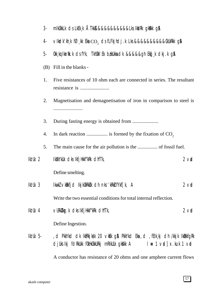| კ. |  |  | mikükkLk ds LkEk, k ÁTkk&&&&&&&&&&&Lks ikkiRk gkikkk g& |  |  |
|----|--|--|---------------------------------------------------------|--|--|
|----|--|--|---------------------------------------------------------|--|--|

- vlkdk'kh,k fØ,kk Eka co, dsfLFkjhdj.k Lks &&&&&&&&&&&CkUkRkk g&  $4-$
- Okk kq Iknilk k ds fyk, Tkhûkk' Ek b£kukka dk &&&&&qh Ekq k dkj k g\$ 5-
- (B) Fill in the blanks -
- $1.$ Five resistances of 10 ohm each are connected in series. The resultant
- 2. Magnetisation and demagnetisation of iron in comparison to steel is
- 3.
- In dark reaction .................... is formed by the fixation of  $CO<sub>2</sub>$  $\overline{4}$ .
- 5.
- $I$ *kt*  $I$ *k* 2 IKXKYKUK CIKS IKfjHkKf"KRK CINTTK,  $2$   $\vee$ n Define smelting.
- $\mathbb{R}$  Uk 3 IkwkZ vkRkfjd IkjkOkRkWk dh nks 'kRkZ fYkffk, A  $2 \vee$ d Write the two essential conditions for total internal reflection.

 $\vee$ URKXK $\alpha$ . k clks IkfjHkkf"kRk clhfTk, lki Ukat  $2 \vee$ d Define Ingestion.

, d PkkYkd dk IkfRkjksk 20 vklik g\$ PkkYkd Eka , d , fElk kj dh /kkjk IkûkkfgRk  $I$ kz Uk 5djuksikj fdRkukk f0kHk0kkuRkj mRIkuUk qkXkk A  $I \neq 1$  vol x.kuk 1 vol

A conductor has resistance of 20 ohms and one amphere current flows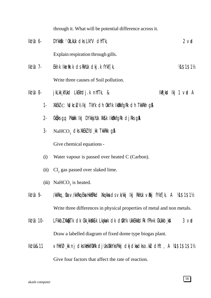through it. What will be potential difference across it.

- Ikz'Uk 6- DYkksEk 'OkLkUk dks LIk"V dhfTk, 2 vad Explain respiration through gills.
- Ikz'Uk 7- Ek`nk Ikznw"k.k ds RkhUk dkj.k fYkf[k, ¼1\$1\$1½ Write three causes of Soil pollution.
- Ikz'Uk 8- jkLkk¸kfUkd LkEkhdj.k nhfTk, & Ikzaban ikasi Ikj 1 vad A
	- 1- XKEKZ  $C$  XdkcZu½ Ikj TkYk dh Okk"Ik Ikûkkfark dh Tkkrkh q\$
	- 2- Ckölks gg, Pkwukk Ikj DYkksjhUk XkSLk IkukkfgRk djRks g**s**A
	- 3-  $\mathrm{NaHCO}_{_3}$  dks XkEkZ fd¸kk TkkRkk g\$A

Give chemical equations -

- (i) Water vapour is passed over heated C (Carbon).
- (ii)  $Cl_2$  gas passed over slaked lime.
- (iii) NaHCO<sub>3</sub> is heated.
- Ikz'Uk 9- /kkRkq, Oka v/kkRkq Eka Hkk\$Rkd Xkq.kka ds vk/kkj Ikj RkhUk vRkj fYkf[k, A ¼1\$1\$1½ Write three differences in physical properties of metal and non metals.
- Ikz'Uk 10- LFkkbZ Xk@kTk dk Ckk¸kk**x**K&k Lkaٍkak dk d\$kYk UkkEkk£idRk fPk«k CkUkkb¸k\$ 3 vad Draw a labelled diagram of fixed dome type biogas plant.
- Iki Uk&11 vfHkfØkk nj dks IkiHkfOkRk djUks OkkYks Pkkj dkjdka dkso ku dhft, A ¼1\$1\$1\$1½ Give four factors that affect the rate of reaction.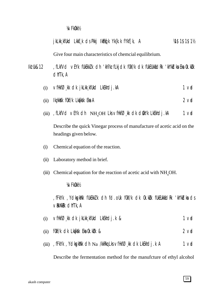### ¼vFkOkk½

|           | j kLkk kfUkd Lkke k ds Pkkj IkEkq k Yk{k. k fYkf [k, A<br>14\$1\$1\$11                                               |  |  |  |
|-----------|----------------------------------------------------------------------------------------------------------------------|--|--|--|
|           | Give four main characteristics of chemcial equilibrium.                                                              |  |  |  |
| lk! Uk&12 | , fLkfVd vEYk fUkEkkZk dh 'kh?kz fLkjdk f0kf/k dk fUkEUkkfidRk 'kh"kZIka Eka 0k. kDk<br>cliffk, A                    |  |  |  |
| (i)       | $\vee$ fHkfØ $\swarrow$ kk dk jkLkk $\swarrow$ kfUkd LkEkhdj.kA<br>1 <sub>v</sub>                                    |  |  |  |
| (ii)      | Ikzkkik fûkf/k Lkarkik Eka A<br>$2$ vo                                                                               |  |  |  |
|           | (iii) , fLkfVd vEYk dh $NH_{4}OH$ Lks vfHkfØ kk dk d\$kYk LkEkhdj . kA<br>1 <sub>v</sub>                             |  |  |  |
|           | Describe the quick Vinegar process of manufacture of acetic acid on the<br>headings given below.                     |  |  |  |
| (i)       | Chemical equation of the reaction.                                                                                   |  |  |  |
| (ii)      | Laboratory method in brief.                                                                                          |  |  |  |
| (iii)     | Chemical equation for the reaction of acetic acid with $NH4OH$ .                                                     |  |  |  |
|           | <b>VAZFKOKKV2</b>                                                                                                    |  |  |  |
|           | , fFkYk , YdkgkWk fUkEkkZ k dh fd.oUk f0kf/k dk 0k.kWk fUkEUkkiidRk 'kh"kdka ds<br>$\vee$ RKXkRk $\triangle$ hfTk, A |  |  |  |
| (i)       | $\vee$ fHkfØ $\swarrow$ kk dk jkLkk $\swarrow$ kfUkd LkEkhdj.k &<br>1 <sub>v</sub>                                   |  |  |  |
| (ii)      | fûkf/k cik Lkarkisk Eka ûk. külk &<br>$2$ vo                                                                         |  |  |  |
| (iii)     | , fFkYk, YdkgkWk dh Na /kkRkq Lks vfHkfØ, kk dk LkEkhdj. k A<br>1 <sub>v</sub>                                       |  |  |  |
|           | Describe the fermentation method for the manufcture of ethyl alcohol                                                 |  |  |  |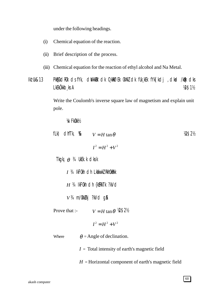under the following headings.

- $(i)$ Chemical equation of the reaction.
- $(ii)$ Brief description of the process.
- (iii) Chemical equation for the reaction of ethyl alcohol and Na Metal.

**Ikt Uk&13** PKECkdROk dsfYk, diVkkEk dk 0 kRØEk OkXkZ dk fUk kEk fYk [kdj , dkrd /kQk dks LkEkÖkkb, ks A **18\$11/2** 

> Write the Coulomb's inverse square law of magnetism and explain unit pole.

**VA/FkOkkV2** 

| fLk) $\text{CliffR}, \mathcal{X}$ $V = H \tan \theta$   |                                                        | Y2\$2½ |  |  |
|---------------------------------------------------------|--------------------------------------------------------|--------|--|--|
|                                                         | $I^2 = H^2 + V^2$                                      |        |  |  |
| Tkgkj $\theta$ <sup>3</sup> / <sub>4</sub> UkEk.k clksk |                                                        |        |  |  |
|                                                         | $I$ $3/4$ IkFOkh $I$ h Lkakw $K$ RkhOkRkk              |        |  |  |
| $H$ 34 IkFOkh dh {k\$RkTk ?kVd                          |                                                        |        |  |  |
| $V3$ 4 m/0kklkj ?kVd g\$                                |                                                        |        |  |  |
|                                                         | Prove that :- $V = H \tan \theta$ $\mathcal{W} = 2\%$  |        |  |  |
|                                                         | $I^2 = H^2 + V^2$                                      |        |  |  |
| Where                                                   | $\theta$ = Angle of declination.                       |        |  |  |
|                                                         | $I = \text{Total intensity of earth's magnetic field}$ |        |  |  |
|                                                         | $H =$ Horizontal component of earth's magnetic field   |        |  |  |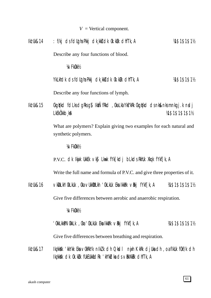$V =$  Vertical component.

| lk! Uk&14 | : f/kj ds fdllgha Pkkj dk kk}dk 0k . kuk dhfTk, A                                          | M\$1\$1\$1½     |
|-----------|--------------------------------------------------------------------------------------------|-----------------|
|           | Describe any four functions of blood.                                                      |                 |
|           | <b>VA/FkOkkV<sub>2</sub></b>                                                               |                 |
|           | YkLkhdk ds fdligha Pkkj dk kki dk ûk. külk dhiffk, A                                       | 14\$1\$1\$11    |
|           | Describe any four functions of lymph.                                                      |                 |
| lk! Uk&15 | Ckgiylkd fdLksdgRksg\$ lktNfRkd, OkaLkaYkf"kRk Ckgiylkd dsnk&nksmnkgj.k ndj<br>LKEKÖKKb kA | 14\$1\$1\$1\$1% |
|           | What are polymers? Explain giving two examples for each natural and<br>synthetic polymers. |                 |
|           | <b>VA/FkOkkV<sub>2</sub></b>                                                               |                 |
|           | P.V.C. OK Ikijk UkkEk vk\$ Lkwk fYk[kdj bLkds RkhUk Xkqk fYkf[k, A                         |                 |
|           | Write the full name and formula of P.V.C. and give three properties of it.                 |                 |
| lk! Uk&16 | ∨kDLkh'OkLkUk , Oka ∨UkkDLkh 'OkLkUk Eka IkkBk ∨Bkj fYkf[k, A                              | 14\$1\$1\$1\$1  |
|           | Give five differences between aerobic and anaerobic respiration.                           |                 |
|           | <b>VAZFKOKKV2</b>                                                                          |                 |
|           | 'OkkLkkPNOkkLk , Oka 'OkLkUk Eka IkkPk ∨Rkj fYkf[k, A                                      | 14\$1\$1\$1\$1% |

Give five differences between breathing and respiration.

Iki Uk&17 Ikz kkisk 'kkYkk Eka vOkRkYk nIkZk dh Qkidl nyjh KkRk djUka dh , oa fIkUk fOkf/k dh Ikz kkXk dk 0k. kük fUkEUkkádRk 'kh"kZka ds ∨RkXkRk dhfTk, A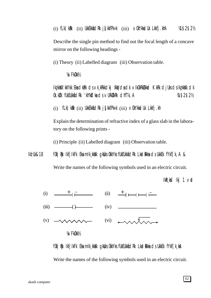Describe the single pin method to find out the focal length of a concave mirror on the following headings -

(i) Theory (ii) Labelled diagram (iii) Observation table.

¼vFkOkk½

Ikz¸kksXk'kkYkk Eksa dkaPk ds vk¸kRkkdkj XkqVdsa dk vIkOkRkZUkkad KkRk djUks ds Ikz¸kksXk dk Ok.kZUk fUkEUkkafdRk 'kh"kZdksa ds vURkZXkRk dhfTk,A ¼1\$2\$2½

(i)  $f(k)$ k $k$ k $i$ i) Ukk $E$ kk $i$ d $R$ k j $\int$ kkf $P$ k«k (iii)  $\vee$ Ok $Y$ kk $S$ Uk Lkkfj.kh

Explain the determination of refractive index of a glass slab in the laboratory on the following prints -

(i) Principle (ii) Labelled diagram (iii) Observation table.

Ikz Uk&18 fOk | Buk IkfjilkFk Eka mik¸kkak gkblks OkkYks fUkEUkkadRk LkadBkka ds UkkEk fYkf[k, A &

Write the names of the following symbols used in an electric circuit.

 $I$ k $R$ , ksd  $I$ kj 1 vad



fOk | BK IkfjIkFk Eka mIk¸kk)Kk qkblks OkkYks fUkEUkkatdRk Lkadarkka ds UkkEk fYkf[k¸ksA

Write the names of the following symbols used in an electric circuit.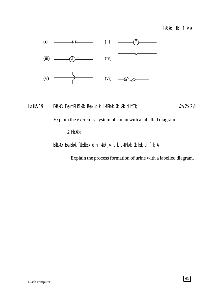### IkR<sub>s</sub>kd Ikj 1 vad



## Ikz'Uk&19 EkkUkOk Eka mRLkTkØk Rkack dk LkfPk«k Ok.kØk dhfTk, tantak 12\$2\$2½

Explain the excretory system of a man with a labelled diagram.

### ¼vFkOkk½

### EkkUkOk Eka Ekwk fUkEkkZ k ch Ikfø, kk cik LkfPk«k Ok.kØk cihfTk, A

Explain the process formation of urine with a labelled diagram.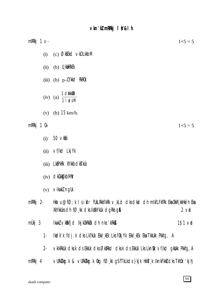| mRRkj $1 \vee$ | $1\times 5=5$                                                                                                                                     |
|----------------|---------------------------------------------------------------------------------------------------------------------------------------------------|
| (i)            | (c) ØkfEkd vkDLkkbM                                                                                                                               |
| (ii)           | $(b)$ U kWkRkEk                                                                                                                                   |
|                | $(iii)$ (b) $p$ -CYKK <b>C</b> RKROK                                                                                                              |
|                | $\frac{1}{1}$ dividend $\frac{1}{1}$ is starting to $\frac{1}{1}$<br>$(iv)$ (a)                                                                   |
| (v)            | (b) $15 \text{ km/h}$ .                                                                                                                           |
| mRRkj 1 Ck-    | $1\times 5=5$                                                                                                                                     |
| (i)            | 50 vkEk                                                                                                                                           |
| (ii)           | vf/kd LkjYk                                                                                                                                       |
| (iii)          | LK&PKRK XYKKbdKTKUK                                                                                                                               |
|                | $(iv)$ dk $0$ kkk $j$ kbM $\prime$                                                                                                                |
|                | $(v)$ vlkwkl nguk                                                                                                                                 |
| mRRkj 2-       | Hkatu@fØ; k I s i kIr fUkLRkkfIkRk v¸kLd dksdkd dh mIkfLFkfRk Eka OkkR¸kkHkëh Eka<br>XkYkkUks dh fØ, kk dks IkXkYkUk dgRks g <b>\$</b><br>$2$ vid |
| mÙkj $3$       | IkwkZ vkRkfjd Ikjk0kRkDk dh nks 'kRkBx<br>$1$ \$1 $\vee$ rd                                                                                       |
| 1-             | Ikclk'k fdj.k dks Lk?kUk Ekk/¸kEk Lks f0kjYk Ekk/¸kEk Eka TkkUkk Pkkfg, A                                                                         |

- $2$ vklkRkUk dksk ds EkkUk dks Øk&Rkd dksk ds EkkUk Lks Lkn& vf/kd gkWkk Pkkfg, A
- VURKXKg.k & VURKXkg.k 0kg fØ,kk gSfTkLkds}kjk HkksT,k IknkFkkidsksTkh0k 'kjhj mRRkj 4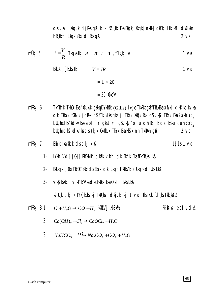ds vni Xkg.k dikks gå blk føk Eka Ekdiki Xkgki nkaki gkFki Lik'kd divikkn bR kkfn Lkgk kRkk dj Rks g**a**  $2<sub>vd</sub>$ 

- $I=\frac{V}{R}$  Tkgka Ikj  $R=20, I=1$  , fElk kj A mÙkj 5  $1<sub>v</sub>$ EkkUk j $\lceil k \rceil$ kUks Ikj $V = IR$  $1<sub>v</sub>$  $= 1 \times 20$  $= 20$  Okky V
- TkYkh k Tkhûk Eka 'ûkLkUk girkq DYkkek (Gills) Ikk ks TkkRks gå fTkUkEka #f/kj clkf'kclkvka mRRkj 6 dk TkkYk fükNk jgRkk gSfTkLkLksgksdj TkYk XkqTkjRkk gSvk\$ TkYk Eka?kiykh o, blighadkf kdkvkaeafol fjr gks tkrh gSvkf 'ol u dh fØ; k dsnkfku cuh CO, bugha dkf'kdkvka ds }kjk 0kklkLk TkYk Eka HkTk nh TkkRkh g\$  $2<sub>v</sub>$

1\$1\$1 vrd

- IYKKfLVd] jûkj] PKEKMK] dkBk vkfn dk Eknk Eka fEkYkUks LkA  $1 -$
- $2 -$ EkUköt k , Oka TkhOkTkiRkg ds EkYk dk Lkgh fUkIkVkjk Ukgha djUks LkA
- $3 -$ VKS| k\$Xkd VIkf' k"Vka dks HkfiEk Eka Qsd nbks LkA

1/4/U<sub>s</sub>k dkj.k fYk[kUks lkj lkR<sub>s</sub>ksd dkj.k lkj 1 væd lknkUk fd<sub>s</sub>ks Tkk<sub>s</sub>kaA1/2

- mRRkj 81- $C+H_2O \rightarrow CO+H_2$  WikiVj XkSLk½  $\forall i \mathbb{R}$ ; cd ea1 vad $\forall$ 
	- 2-  $Ca(OH)_2 + Cl_2 \rightarrow CaOCl_2 + H_2O$
	- $NaHCO_3 \longrightarrow Na_2CO_3 + CO_2 + H_2O$  $3 -$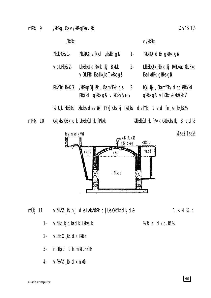/kkRkg, Oka ∨/kkRkg Eka ∨**R**kj mRRkj 9

/kkRkq

 $\vee$ /kkRkq

| ?kUkROk&1- | $?$ kukROk $\vee$ f/kd qkRkk qA                                | $1 -$ | ?kukrûk dêk gkatkk ga              |
|------------|----------------------------------------------------------------|-------|------------------------------------|
| voLFkk&2-  | LKKEKKU K RKKIK IK <b>j</b> BK <b>t</b> .K                     | $2 -$ | LkkEkkU k RkkIk Ikj RkhUkka∨OkLFkk |
|            | $\vee$ Ok <code>LF</code> kk Eka Ikk $\Box$ ks TkkRks $\Box$ S |       | Eka IkkiRk gkRks g <b>a</b>        |

PkkYkdRkk&3- /kkRkq f0k | Rk , 0ka m"Ekk ds  $3$ fûk | Bik ,0ka m"Ekk ds dBrkkYkd PkkYkd gkRks g& vlk0kkn&Pb gkRks g& vlk0kkn&XkOkbV

1⁄4JU, k Hkk\$Rkcl Xkq kka cJs √Rkj fYk[kUks Ikj IkR, ksd cJs fYk, 1 √æl fn, ks Tkk, ksA½

mRRkj 10 **CKK KKS XKSLK CIK UKKEKK&CIRK fPK«k**  **WikkEkk&dRk fPk«k CkUkkUks Ikj 3 væl½** 



mÙkj 11 vfHkfØ, kk nj dks IkHkkf0kRk djUks 0kkYks dkjd&

 $1 \times 4$  3/4 4

 $1/2$1/2/2$ 

 $1$ vfHkdkjdka dk Lkkae.k Vi R; cl clk o.kLV2

- $2 \vee$ fHkf $\emptyset$ , kk dk Rkklk
- $3$ mRIkj d dh mIkfLFkfRk
- $VfHkfØ_kk dk$  of the nkCk  $4-$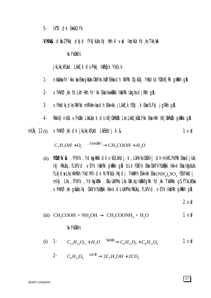$5-$ Ik"B dk {kskQYk

Vhik& dkbz Pkkj dkjd fYk[kuks lkj Hkh 4 vrd Iknkuk fd ks Tkk kA

**VA/FkOkkV2** 

j kLkk kfUkd LkkE k ds Pkkj IkEkdk Yk{k.k

- nkbikka fn' kkvka Eka gkbiks ûkkyks IkØEkka dh XkfRk CkjkCkj YkfdUk fûklkfjRk gkikih g\$  $1 -$
- $2$ vfHkfØkk fdLkh Hkh fn'kk EkalkwkRkk IkkIRk UkghadiRkh g\$
- vfHkdkjdks RkFkk mRIkknka dh Ekk«kk, ¡LkkE k fEkJ . k Eka fLFkj jgRkh g\$  $3 -$
- Rkklk] nkCk vFkOkk LkkUæ.k ds lkfjOkRkUk Lks LkkE\_kOkLFkk Eka Hkh lkfjOkRkUk gkRkk g\$  $4-$
- mÙkj  $12(i)$ vfHkfØkk dk jkLkkktUkd LkEkhdj.k &  $1<sub>v</sub>$

$$
C_2H_5OH + O_2 \xrightarrow{\qquad \text{, }\text{fl.IV/IS} \text{ (LIV)} } CH_3COOH + H_2O
$$

(ii) **fOkf/k &** , fFkYk, YcksqkWk clk vkDLkhclj.k, LkhVks CkDVj clh mlkfLFkfRk Eka cljUks Ikj RkUkq , fLkf∨d ∨EYk IkkIRk qkRkk q\$ bLk f0kf/k Eka CkkYVhUk&kk Ikk«k Eka IkqikUks fLkjda Lks HkhXkh YkdMh dk NhYkUk Hkjdj Fkk&Nh Ekk«kk Eka ( $NH_{2}$ , $SO_{4}$  fEkYkkdj mikj Lks, fFkYk, YcikgkWk, Oka UkhPks Lks Okk kg IkØkkfgRk fci kk TkkRkk g\$fTkLkEka ▽fHkfØk akbiks Ikj CkkYVhUkhikk Ikk«k ds UkhPks RkUkq , fLkfVd vEYk IkkIRk qkRkh q&

 $2$  vol

(iii) 
$$
CH_3COOH + NH_4OH \rightarrow CH_3COONH_4 + H_2O
$$
 1 v**d**

#### **VA/FkOkkV2**

(i) 1- 
$$
C_{12}H_{22}O_{11} + H_2O \xrightarrow{\text{TMbtkfk}} C_6H_{12}O_6 + C_6H_{12}O_6
$$
 1 v**d**

$$
2 \cdot C_6 H_{12} O_6 \xrightarrow{\text{bIOVft}} 2C_2 H_5OH + 2CO_2
$$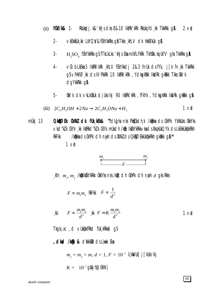- **f0kf/k& 1-**RKUkodi.k&'khis chs 8&10 lkork'kRk RkUko, fcl.kk TkkRkk q&  $2 \vee$ d  $(ii)$ 
	- VKEKKSUK KK LKYQY&fEKYKKRKS QS TKKS KhLV CIK HKKSTKUK QSA  $2 -$
	- $3 H$ <sub>2</sub>SO<sub>4</sub> fEkYkkRks gS fTkLkLks 'khjs Eka mIkfLFkRk Tkh0kk.kq Uk"V gks TkkRks g**\$**
	- $\overline{4}$ vů blkéka 5 lktřk kře khlv fekykkchi 2&3 fnuk chstyk, je k fnuk Tkkřkk gs vfHkfØkk ds Ik'PkkRk 10 lkfRk'kRk, YdkgkWk lktlRk gkRkk Tkks Okk'k dqYkkRkk q&
	- $5-$ Okk'k dk vkLkOkUk djUkslkj 90 lktRk'kRk , fFkYk , YdkspkWk lkkIRk gkRkk g&

(iii) 
$$
2C_2H_2OH + 2Na \rightarrow 2C_2H_2ONa + H_2
$$
 1 v**d**

**0 kRØEK OKXKZ OLK fUK KEK& "follona nks PkECkoln k /kBkka ols CkhPk YkXkUks OkkYks** mÙkj 13 Vkd"kZ k CkYk k lkfRkd"kZ k CkYk mUkdh /kfk lkfkYkRkkvkads Xkq kUkQYk ds LkEkkUktkkRkh /kikka ds CkhPk dh nijh ds OkXkZ ds 0 kBQZEkkUkikkRkh qkBkk q\$ RkFkk  $1<sub>v</sub>$ 

$$
\begin{array}{c}\nm_1 & m_2 \\
\hline\n & d\n\end{array}
$$

kfn  $m_1$ ,  $m_2$  /kotkikka /kka/kkk okky /kotk dh CkhPk dh nyih d gks Rkks

 $F \propto m_1 m_2$  RKFKK  $F \propto \frac{1}{d^2}$ 

$$
\mathsf{f} \mathsf{f} \sim \frac{m_1 m_2}{d^2} \quad \mathsf{f} \mathsf{f} = K \frac{m_1 m_2}{d^2} \tag{1.1}
$$

Tkgkj  $K$ , d vlktkkfrkd flk krkkad gs

, **cikad /kak & civikklik** cis Lkwk Eka

$$
m_1 = m_2 = m, d = 1, F = 10^{-7} \text{ U.kWUk} \text{ j} \text{ [kUks lk]}
$$

$$
K = 10^{-7} \text{ g}^{\text{J}} \text{kj} \text{h} \text{ @EhVj}
$$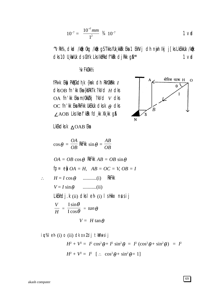$$
10^{-7} = \frac{10^{-7} \, \text{mm}}{1^2} \, \frac{3}{4} \, 10^{-7} \, \text{1 Vd}
$$

 $\boldsymbol{B}$ 

"VRk%, cikaci /kojk Okg /kojk g\$TkksfUk\_kkRk Eka 1 EkhVj cih nyih ikj j[ks LkEkkUk /kojk dks 10 U kWUk ds CkYk Lks IkfRkdf"kRk dj Rkk g\$<sup>\*\*</sup>  $1<sub>v</sub>$ 

**1/A/Fk0kk1/2** 

fPk«k Ek) PkECkch, k {ksk clh RkhOkRkk /  $dk$  OB fn' $k$  Eka {kfRkTk ?kVd  $H$  dks OA fn'kk Ekam/0kkZkj ?kVd v dks OC fn'kk Eka RkFkk UkEkUk dksk  $\theta$  dks  $\angle$  AOB Lks Iknf'kRk fd, kk Xk, kk g&

LkEkdks  $k \Delta$ OAB Eka

$$
\cos \theta = \frac{OA}{OB} \text{ RkFK} \sin \theta = \frac{AB}{OB}
$$
  
\n $OA = OB \cos \theta \text{ RkFK} \space AB = OB \sin \theta$   
\nfp = e)  $OA = H$ ,  $AB = OC = V$ ,  $OB = I$   
\n $\therefore H = I \cos \theta$  .........(i) RkFK  
\n $V = I \sin \theta$  .........(ii)  
\nLkEkhdj.k (ii)  $\text{dk} \space 1 \text{ eh}$  (i)  $\space 1 \text{ s} \space 1 \text{lkk} \space 1 \text{ m} \space 1 \text{ m} \space 1 \text{ m} \space 1 \text{ m} \space 1 \text{ m} \space 1 \text{ m} \space 1 \text{ m} \space 1 \text{ m} \space 1 \text{ m} \space 1 \text{ m} \space 1 \text{ m} \space 1 \text{ m} \space 1 \text{ m} \space 1 \text{ m} \space 1 \text{ m} \space 1 \text{ m} \space 1 \text{ m} \space 1 \text{ m} \space 1 \text{ m} \space 1 \text{ m} \space 1 \text{ m} \space 1 \text{ m} \space 1 \text{ m} \space 1 \text{ m} \space 1 \text{ m} \space 1 \text{ m} \space 1 \text{ m} \space 1 \text{ m} \space 1 \text{ m} \space 1 \text{ m} \space 1 \text{ m} \space 1 \text{ m} \space 1 \text{ m} \space 1 \text{ m} \space 1 \text{ m} \space 1 \text{ m} \space 1 \text{ m} \space 1 \text{ m} \space 1 \text{ m} \space 1 \text{ m} \space 1 \text{ m} \space 1 \text{ m} \space 1 \text{ m} \space 1 \text{ m} \space 1 \text{ m} \space 1 \text{ m} \space 1 \text{ m} \space 1 \text{ m} \space 1 \text{ m} \space 1 \text{ m} \space 1 \text{ m} \space 1 \text{ m} \space 1 \text{ m} \space 1 \text{ m} \space 1 \text{ m} \space 1 \text{ m} \space 1 \text{ m} \space 1 \text{ m} \space 1 \text{ m} \space 1 \text{ m} \space 1 \text{ m} \space 1 \text{ m} \$ 

iu%leh (i) o (ii) dk oxldj tkMusij

$$
H^2 + V^2 = I^2 \cos^2 \theta + I^2 \sin^2 \theta = I^2 (\cos^2 \theta + \sin^2 \theta) = I^2
$$
  

$$
H^2 + V^2 = I^2 [\therefore \cos^2 \theta + \sin^2 \theta = 1]
$$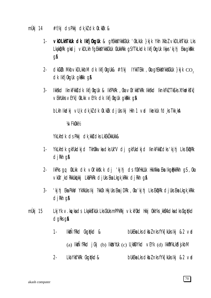- mÙki 14 #f/kj ds Pkkj dk kl dk 0k klkk &
	- VKDLKhTKUK CIK IKfjOkqUk & ghEkkXYkk\$CkUk 'OkLkUk }kjk Ykh XkbZ vkDLkhTkUk Lks  $1 -$ Lkakid Rk qksdi vkDLkh fq Ekkil Ykks CkUkk CkUkkRkk q Sf TkLkdk Ikfj OkqUk Ikijs 'kj hj Eka qk Rkkk **g&**
	- $\alpha$ kCkDk Mkb $\vee$ kDLkkbM  $\alpha$ k Ikfj0kqUk& #f/kj IYkkTEkk ,0kaqhEkkXYkkSCkUk }kjk $\alpha$  $2$ dk Ikfj0kgUk gkRkk g&
	- Ikkskd IknkFkk& dk Ikfj0kqUk & IkfPkRk , 0ka v0k'kks"kRk Ikkskd IknkFkZ Tk£ks XYkvdksTk]  $3 -$ VEKhUKKS VEYK] OKLKK VEYK OIK IKfj OKQUK QKRKK QA

blkh Ikdkj vu k dk ki dk (k ki ki djuks ikj Hkh 1 vrd Iknkuk fd ks Tkk ka

**VA/FkOkkV2** 

YkLkhdk ds Pkkj dk kkx dks LkEkökkUkk&

- YkLkhdk gkfUkdkjd TkhOkkvkadksUk"V dj gkfUkdkjd IknkFkk&dks'kjhj LksEkDRk  $1$  $d$ j $Rkh$  q $\AA$
- IkPks qq 0kLkk dk √0k'kksk.k dj 'kjhj ds f0kfHkUUk HkkXkka Eka Ikq@kkRkh q\$,0ka  $2$ vkûk' kdRkkukû kki LkapkRk di Uks Eka Lkqk kRkk di Rkh q\$
- 'kjhj Eka Pkkš/ YkXkUks Ikj ?kkOk HkjUks Eka jDRk , Oka 'kjhj Lks EkipRk djUks Eka Lkgk kRkk  $3$  $d$ jkh q $\alpha$
- mÙkj 15 Lkj Yk v. kg/kads LkakksTkUk Lks CkUksmPPkRkj vk. kf0kd Hkkj 0kkYks kk\$Xkdkadks CkgqYkd dgRks g&
	- $1 -$ **IkkÑfRkd Ckgğkd &** bukeka Lks cikbi nks f $Yk$  [kuks lkj &2  $\nabla$ id] (a)  $I$ kk $\tilde{N}$ f $R$ kd  $j$   $\tilde{W}$ j (b)  $I$ kk $s$ /h $I$ k (c)  $U_s$ kfi $D$ Ykd  $V$ EYk (d)  $I$ kkf $W$ k $L$ k $s$ d $s$ k $b$ M
	- $2 -$ Lka Ykf"kRk Ckgiy'kd& bukeka Lks cikbz nks f $Yk$  [kuks lkj &2  $\nabla$ ad]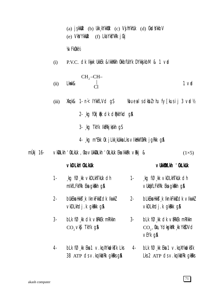(a)  $i$ skkuk (b) Ukk kYkkuk (c) VsihYkhuk (d) CksdYkkbV  $(e)$  Vky Ykkuk (f) Lkd Ykf"kRk j Ckj

**VA/FkOkkV2** 

P.V.C. OK Ikijk Ukkek &IkkWkh OkkbfUkYk DYkkj kbM & 1 vrd  $(i)$ 

(ii) Lkwk& 
$$
\begin{bmatrix} CH_2-CH- \\ | \\ Cl \end{bmatrix}
$$
 1 vol

- $Xkg k& 1 n < IYk$  fill  $Vd$  qs *Youeal* school rhu fy [kusij 3  $\nu$ ad 1/2  $(iii)$ 
	- 2- kg f0k | Rk dk dPkkYkd g&
	- 3- kg TkYk IkfRkjkgkh qS
	- 4 kg m"Ekk 0k j Lkk kukka Lks v Ikukkf0kRk j g Rkk g &
- mÙkj  $16$ VKDLKh 'OkLkUk , Oka VUkkDLkh 'OkLkUk Eka IkkBk VRkj &  $(1\times5)$

### vkDLkh' OkLkUk

#### VUKKWLKh 'OKLKUK

blk føk dk væket milikkn

 $CO<sub>2</sub>$ , 0ka, YckgkWk kk Yk $5DVd$ 

 $V$ EYk q $\beta$ 

- kg  $f\emptyset$ , kk vkDLkhTkUk dh kg fØkk vkDLkhTkUk dh  $1 1$ mikfLFkfRk Eka gkRkh g& VUKOKfLFKfRk Eka gkRkh g&
- $2$ bukeka Hkkst k IknkFkk& dk IkwkZ bLkEka HkksT k lknkFkk& dk ∨lkwkZ  $2$ vkDLkhdj.k gkRkk g& vkDLkhdj.k gkRkk g&
- $3$ blk føk de virker mriken  $3 CO, Vk$ **S** TkYk g**&**
- $4$  $bLk$  f $\emptyset$  kk Eka 1  $\vee$  kg XYkudkstk Lks  $bLk$  f $O$ <sub>kk</sub> Eka 1  $\vee$ .kq XYkudkstk  $4-$ 38  $ATP$  ds  $\vee$ . kg lkklRk gkRks g& Lks  $2$  ATP  $ds \vee$ . kg IkkIRk gkRks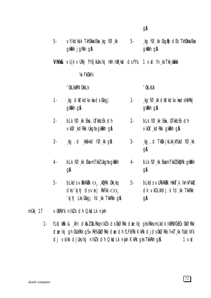|                              | 5- $\vee$ f/kdka k Tkhûkka Eka $\log$ f $\varnothing$ kk 5-<br>gkkkh jgkkh g&                                                            |       | $\Box$ kg f $\oslash \Box$ kk CkgRk dEk TkhOkka Eka<br>gkkkh g&                  |
|------------------------------|------------------------------------------------------------------------------------------------------------------------------------------|-------|----------------------------------------------------------------------------------|
|                              | <b>Vhik&amp;</b> $\vee$ U <sub>s</sub> k $\vee$ URkj fYk[kUksikj Hkh IkR <sub>s</sub> ksd cJsfYk, 1 $\vee$ ad fn <sub>s</sub> ksTkk,kXkA |       |                                                                                  |
|                              | <b>VA/FkOkkV2</b>                                                                                                                        |       |                                                                                  |
|                              | ' OkLkk&NOkkLk                                                                                                                           |       | ' OkLkUk                                                                         |
| $1 -$                        | ∫kg dk <b>f'</b> kdk∨ka ds Ckkgj<br>gkkkh g&                                                                                             |       | 1- $\log$ f $\varnothing$ , kk clks' kolkvka cls HkhRkj<br>gkkkh g&              |
| $2 -$                        | $bLk$ f $O$ <sub>kk</sub> Eka, UTKkbEk clh<br>∨k0k' kdRkk Ukgha gkRkh g\$                                                                | $2 -$ | $bLk$ f $O$ <sub>k</sub> k Eka, UTKkbEk clh<br>vkûk', kdRkk gkRkh g\$            |
| $3-$                         | $\Box$ kg, d $\Box$ kkiikkd f $\oslash$ kk g&                                                                                            | $3 -$ | $\Box$ kg, d Tk $\aleph$ jkLkk $\Box$ kfUkd f $\oslash \Box$ kk<br><b>g&amp;</b> |
| 4-                           | $bLk$ f $O_{s}$ kk Eka mTkkZ Ukgha gkRkh<br>gA                                                                                           | 4-    | $bLk$ f $O_{s}$ kk EkamTkkZ EkipRk gkirkh<br>gA                                  |
| 5-                           | <b>blkds</b> $\vee$ RKXKRK $O$ , kpRk 0kk kq<br>$d$ ks 'kjhj $d$ s vmj RkFkk $CO$ ,<br>'kjhj Lks Ckkgj fd kk TkkRkk g\$                  | $5 -$ | bLkds vurkxkrk Hkkst k IknkFkks<br>dk vkDLkhdj.k fd,kk TkkRkk<br><b>gA</b>       |
| ∨0kRkYk nikZk dh QksdLk nijh |                                                                                                                                          |       |                                                                                  |

 $Q_{\rm A}^{\rm A}$ 

fLk) kRk & kfn dkbz 0kLRkqnIkzk ds 0kØRkk dælkj gks RkksmLkdk IkfRkf0kE0k 0kØRkk  $1$ dæ Ikj gh CkUkRkk gSvRk%OkØRkk dæ dh fLFkfRk KkRk djdsOkØRkk f«kT, kk fUkdkYk dj vk/kk djuks Ikj nlk/k dh QkdLk nijh KkRk gks TkkRkh g\$  $1<sub>v</sub>$ 

mÙkj 17

 $72$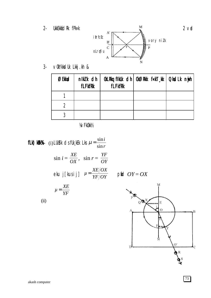**UkkEkkfidRk** fPk«k  $2 -$ 



v0kYkksdUk Lkkj.kh &  $3 -$ 

| ØEkkad | nikk dh<br><b>fLFkfRk</b> | <b>fLFkfRk</b> | OkLRkg fikUk cih   OkØRkk f«kT_kk   QksdLk nijh |  |
|--------|---------------------------|----------------|-------------------------------------------------|--|
|        |                           |                |                                                 |  |
|        |                           |                |                                                 |  |
|        |                           |                |                                                 |  |

**VA/FkOkkV2** 

**fLk) kRk%**- (i) LUkS<sup>y</sup>k cJs fUk<sub>s</sub>kEk Lks  $\mu = \frac{\sin i}{\sin r}$  $\sin i = \frac{XE}{OX}$ ,  $\sin r = \frac{YF}{OY}$ eku j[kusij]  $\mu = \frac{XE/OX}{YF/OY}$  pfiel  $OY = OX$  $\mu = \frac{XE}{YF}$  $(ii)$ 



 $2<sub>v</sub>$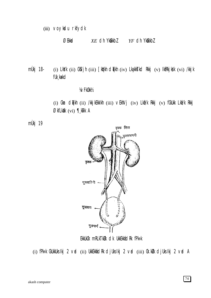(iii) voykdu rkfydk

ØEkkad  $XE$  dh Ykûkkbl  $YF$  dh Ykûkkbl

(i) LkYk (ii) CkYjh (iii) [kYkh clqTkh (iv) LkgkkTkcl Rkkj (v) lkfRkjkSk (vi) /kkjk mÙkj 18fUk, kackd

## **VA/FkOkkV2**

(i) Ckm clqTkh (ii) /kkjkEkkIkh (iii) vEkhVj (iv) Lkfi/k Rkkj (v) fCkUkk Lkfi/k Rkkj ØkfLkXk (vi) ¶kTk A





EkkUkOk mRLkTkUk dk UkkEkkfidRk fPk«k

(i) fPk«k CkUkkUks Ikj 2 vad (ii) UkkEkkadRk cJjUks Ikj 2 vad (iii) Ok. kUk cJjUks Ikj 2 vad A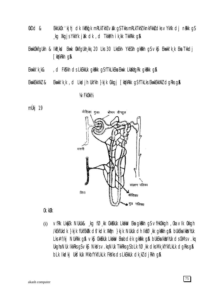- $@bC@@c$ EkkUkOk 'kjhj dk IkEkd'k mRLkTkhZ valk qSTkksmRLkTkhZIknkFkkzdksvYkXk dj nakk qS kg Xkgjs YkkYk jikk dk, d TkkMh ik kk TkkRkk g\$
- Ekwkûkkfqukh & Ikr ksd Ekwk ûkkfqukh kkj 20 Lks 30 LksEkh YkECkh qkrkh q\$ vk\$ Ekwkk'k k Eka Tkkdj [kiykRkh g&
- Ekwkk'k k& , ci FkS'kh cis LkEkkuk gkRkk gS fTkLkEka Ekwk LkXkfgRk gkRkk g\$
- Ekwkk'k,k, d Lkadjh UkYkh }kjk Ckkgj [kq'kRkk gSfTkLks EkwkEkkXkZ dgRks g\$ EkwkEkkXkZ &

**VA/FkOkkV2** 

mÙkj 19



Ok.kUk

vfRk Lky[Ek NUkUk& kg fØkk CkkEkUk LkakiW Eka gkRkh g\$vfHkOkkgh , Oka vIk Okkgh  $(i)$ /kEkfUkdk }kjk fUkfEkRk d\$'kdk Xk@n }kjk NUkUk dh IkfØkk qkRkh q& bUkEka Ikks/hUk Lks #f/kj NUkRkk q\$ vk\$ CkkEkUk Lkakw Eka bdëk qkRkk q\$ bUkEka IkksVhUk ds CkMs v.kq Ukgha NUk IkkRks g $S \vee K\$  NkVs  $\vee$ . kg NUk TkkRks g $S$  bLk f $\emptyset$  kk dks Mk kfYkfLkLk dgRks g $\emptyset$ blk Ikcikj Ukšýkuk Mkbfykflklk Fkšyks os Lkekkuk otk kž otjirkh q\$